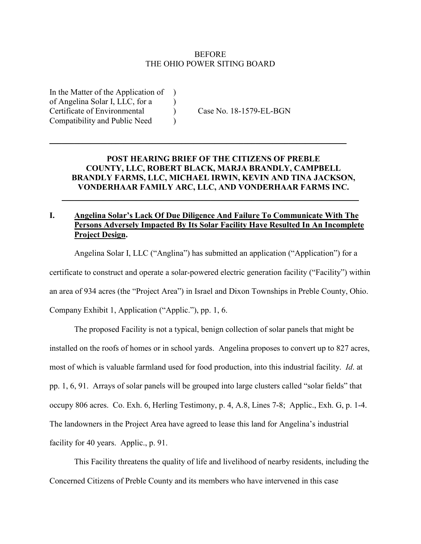### **BEFORE** THE OHIO POWER SITING BOARD

In the Matter of the Application of of Angelina Solar I, LLC, for a ) Certificate of Environmental ) Case No. 18-1579-EL-BGN Compatibility and Public Need )

# **POST HEARING BRIEF OF THE CITIZENS OF PREBLE COUNTY, LLC, ROBERT BLACK, MARJA BRANDLY, CAMPBELL BRANDLY FARMS, LLC, MICHAEL IRWIN, KEVIN AND TINA JACKSON, VONDERHAAR FAMILY ARC, LLC, AND VONDERHAAR FARMS INC.**

 $\overline{\phantom{a}}$  , and the contribution of the contribution of the contribution of the contribution of the contribution of the contribution of the contribution of the contribution of the contribution of the contribution of the

 $\mathcal{L}_\text{max} = \mathcal{L}_\text{max} = \mathcal{L}_\text{max} = \mathcal{L}_\text{max} = \mathcal{L}_\text{max} = \mathcal{L}_\text{max} = \mathcal{L}_\text{max} = \mathcal{L}_\text{max} = \mathcal{L}_\text{max} = \mathcal{L}_\text{max} = \mathcal{L}_\text{max} = \mathcal{L}_\text{max} = \mathcal{L}_\text{max} = \mathcal{L}_\text{max} = \mathcal{L}_\text{max} = \mathcal{L}_\text{max} = \mathcal{L}_\text{max} = \mathcal{L}_\text{max} = \mathcal{$ 

# **I. Angelina Solar's Lack Of Due Diligence And Failure To Communicate With The Persons Adversely Impacted By Its Solar Facility Have Resulted In An Incomplete Project Design.**

Angelina Solar I, LLC ("Anglina") has submitted an application ("Application") for a

certificate to construct and operate a solar-powered electric generation facility ("Facility") within

an area of 934 acres (the "Project Area") in Israel and Dixon Townships in Preble County, Ohio.

Company Exhibit 1, Application ("Applic."), pp. 1, 6.

The proposed Facility is not a typical, benign collection of solar panels that might be installed on the roofs of homes or in school yards. Angelina proposes to convert up to 827 acres, most of which is valuable farmland used for food production, into this industrial facility. *Id*. at pp. 1, 6, 91. Arrays of solar panels will be grouped into large clusters called "solar fields" that occupy 806 acres. Co. Exh. 6, Herling Testimony, p. 4, A.8, Lines 7-8; Applic., Exh. G, p. 1-4. The landowners in the Project Area have agreed to lease this land for Angelina's industrial facility for 40 years. Applic., p. 91.

This Facility threatens the quality of life and livelihood of nearby residents, including the Concerned Citizens of Preble County and its members who have intervened in this case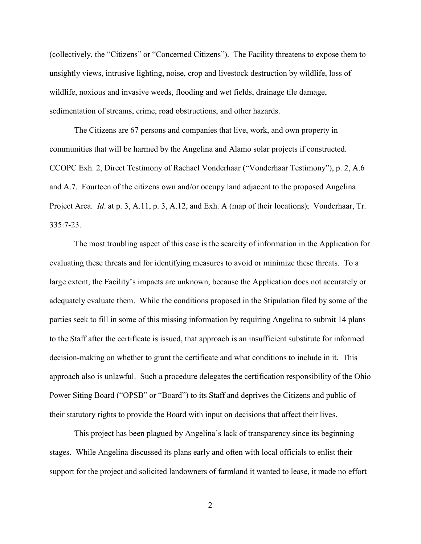(collectively, the "Citizens" or "Concerned Citizens"). The Facility threatens to expose them to unsightly views, intrusive lighting, noise, crop and livestock destruction by wildlife, loss of wildlife, noxious and invasive weeds, flooding and wet fields, drainage tile damage, sedimentation of streams, crime, road obstructions, and other hazards.

The Citizens are 67 persons and companies that live, work, and own property in communities that will be harmed by the Angelina and Alamo solar projects if constructed. CCOPC Exh. 2, Direct Testimony of Rachael Vonderhaar ("Vonderhaar Testimony"), p. 2, A.6 and A.7. Fourteen of the citizens own and/or occupy land adjacent to the proposed Angelina Project Area. *Id*. at p. 3, A.11, p. 3, A.12, and Exh. A (map of their locations); Vonderhaar, Tr. 335:7-23.

The most troubling aspect of this case is the scarcity of information in the Application for evaluating these threats and for identifying measures to avoid or minimize these threats. To a large extent, the Facility's impacts are unknown, because the Application does not accurately or adequately evaluate them. While the conditions proposed in the Stipulation filed by some of the parties seek to fill in some of this missing information by requiring Angelina to submit 14 plans to the Staff after the certificate is issued, that approach is an insufficient substitute for informed decision-making on whether to grant the certificate and what conditions to include in it. This approach also is unlawful. Such a procedure delegates the certification responsibility of the Ohio Power Siting Board ("OPSB" or "Board") to its Staff and deprives the Citizens and public of their statutory rights to provide the Board with input on decisions that affect their lives.

This project has been plagued by Angelina's lack of transparency since its beginning stages. While Angelina discussed its plans early and often with local officials to enlist their support for the project and solicited landowners of farmland it wanted to lease, it made no effort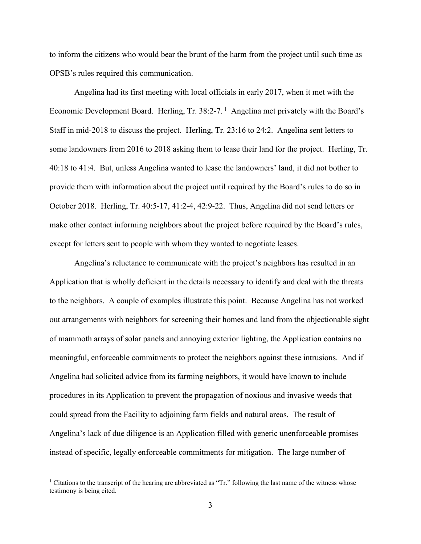to inform the citizens who would bear the brunt of the harm from the project until such time as OPSB's rules required this communication.

Angelina had its first meeting with local officials in early 2017, when it met with the Economic Development Board. Herling, Tr. 38:2-7.<sup>1</sup> Angelina met privately with the Board's Staff in mid-2018 to discuss the project. Herling, Tr. 23:16 to 24:2. Angelina sent letters to some landowners from 2016 to 2018 asking them to lease their land for the project. Herling, Tr. 40:18 to 41:4. But, unless Angelina wanted to lease the landowners' land, it did not bother to provide them with information about the project until required by the Board's rules to do so in October 2018. Herling, Tr. 40:5-17, 41:2-4, 42:9-22. Thus, Angelina did not send letters or make other contact informing neighbors about the project before required by the Board's rules, except for letters sent to people with whom they wanted to negotiate leases.

Angelina's reluctance to communicate with the project's neighbors has resulted in an Application that is wholly deficient in the details necessary to identify and deal with the threats to the neighbors. A couple of examples illustrate this point. Because Angelina has not worked out arrangements with neighbors for screening their homes and land from the objectionable sight of mammoth arrays of solar panels and annoying exterior lighting, the Application contains no meaningful, enforceable commitments to protect the neighbors against these intrusions. And if Angelina had solicited advice from its farming neighbors, it would have known to include procedures in its Application to prevent the propagation of noxious and invasive weeds that could spread from the Facility to adjoining farm fields and natural areas. The result of Angelina's lack of due diligence is an Application filled with generic unenforceable promises instead of specific, legally enforceable commitments for mitigation. The large number of

<sup>&</sup>lt;sup>1</sup> Citations to the transcript of the hearing are abbreviated as "Tr." following the last name of the witness whose testimony is being cited.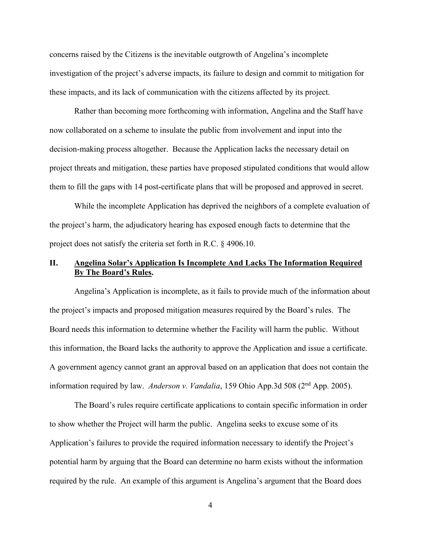concerns raised by the Citizens is the inevitable outgrowth of Angelina's incomplete investigation of the project's adverse impacts, its failure to design and commit to mitigation for these impacts, and its lack of communication with the citizens affected by its project.

Rather than becoming more forthcoming with information, Angelina and the Staff have now collaborated on a scheme to insulate the public from involvement and input into the decision-making process altogether. Because the Application lacks the necessary detail on project threats and mitigation, these parties have proposed stipulated conditions that would allow them to fill the gaps with 14 post-certificate plans that will be proposed and approved in secret.

While the incomplete Application has deprived the neighbors of a complete evaluation of the project's harm, the adjudicatory hearing has exposed enough facts to determine that the project does not satisfy the criteria set forth in R.C. § 4906.10.

## **II. Angelina Solar's Application Is Incomplete And Lacks The Information Required By The Board's Rules.**

Angelina's Application is incomplete, as it fails to provide much of the information about the project's impacts and proposed mitigation measures required by the Board's rules. The Board needs this information to determine whether the Facility will harm the public. Without this information, the Board lacks the authority to approve the Application and issue a certificate. A government agency cannot grant an approval based on an application that does not contain the information required by law. *Anderson v. Vandalia*, 159 Ohio App.3d 508 (2<sup>nd</sup> App. 2005).

The Board's rules require certificate applications to contain specific information in order to show whether the Project will harm the public. Angelina seeks to excuse some of its Application's failures to provide the required information necessary to identify the Project's potential harm by arguing that the Board can determine no harm exists without the information required by the rule. An example of this argument is Angelina's argument that the Board does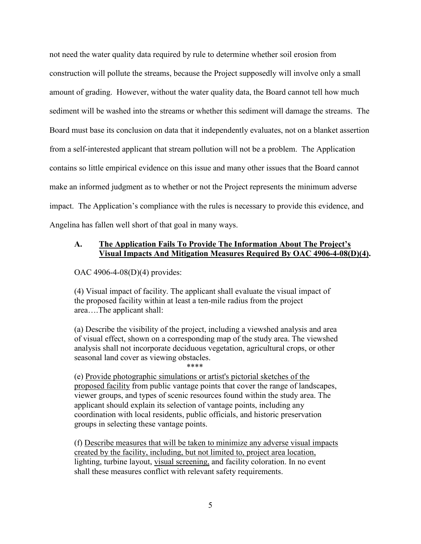not need the water quality data required by rule to determine whether soil erosion from construction will pollute the streams, because the Project supposedly will involve only a small amount of grading. However, without the water quality data, the Board cannot tell how much sediment will be washed into the streams or whether this sediment will damage the streams. The Board must base its conclusion on data that it independently evaluates, not on a blanket assertion from a self-interested applicant that stream pollution will not be a problem. The Application contains so little empirical evidence on this issue and many other issues that the Board cannot make an informed judgment as to whether or not the Project represents the minimum adverse impact. The Application's compliance with the rules is necessary to provide this evidence, and Angelina has fallen well short of that goal in many ways.

### **A. The Application Fails To Provide The Information About The Project's Visual Impacts And Mitigation Measures Required By OAC 4906-4-08(D)(4).**

OAC 4906-4-08(D)(4) provides:

(4) Visual impact of facility. The applicant shall evaluate the visual impact of the proposed facility within at least a ten-mile radius from the project area….The applicant shall:

(a) Describe the visibility of the project, including a viewshed analysis and area of visual effect, shown on a corresponding map of the study area. The viewshed analysis shall not incorporate deciduous vegetation, agricultural crops, or other seasonal land cover as viewing obstacles.

\*\*\*\*

(e) Provide photographic simulations or artist's pictorial sketches of the proposed facility from public vantage points that cover the range of landscapes, viewer groups, and types of scenic resources found within the study area. The applicant should explain its selection of vantage points, including any coordination with local residents, public officials, and historic preservation groups in selecting these vantage points.

(f) Describe measures that will be taken to minimize any adverse visual impacts created by the facility, including, but not limited to, project area location, lighting, turbine layout, visual screening, and facility coloration. In no event shall these measures conflict with relevant safety requirements.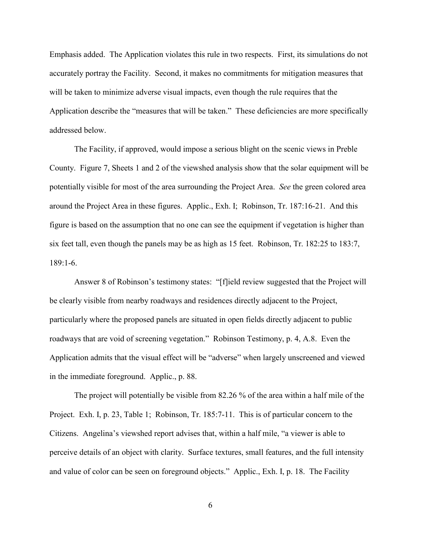Emphasis added. The Application violates this rule in two respects. First, its simulations do not accurately portray the Facility. Second, it makes no commitments for mitigation measures that will be taken to minimize adverse visual impacts, even though the rule requires that the Application describe the "measures that will be taken." These deficiencies are more specifically addressed below.

The Facility, if approved, would impose a serious blight on the scenic views in Preble County. Figure 7, Sheets 1 and 2 of the viewshed analysis show that the solar equipment will be potentially visible for most of the area surrounding the Project Area. *See* the green colored area around the Project Area in these figures. Applic., Exh. I; Robinson, Tr. 187:16-21. And this figure is based on the assumption that no one can see the equipment if vegetation is higher than six feet tall, even though the panels may be as high as 15 feet. Robinson, Tr. 182:25 to 183:7, 189:1-6.

Answer 8 of Robinson's testimony states: "[f]ield review suggested that the Project will be clearly visible from nearby roadways and residences directly adjacent to the Project, particularly where the proposed panels are situated in open fields directly adjacent to public roadways that are void of screening vegetation." Robinson Testimony, p. 4, A.8. Even the Application admits that the visual effect will be "adverse" when largely unscreened and viewed in the immediate foreground. Applic., p. 88.

The project will potentially be visible from 82.26 % of the area within a half mile of the Project. Exh. I, p. 23, Table 1; Robinson, Tr. 185:7-11. This is of particular concern to the Citizens. Angelina's viewshed report advises that, within a half mile, "a viewer is able to perceive details of an object with clarity. Surface textures, small features, and the full intensity and value of color can be seen on foreground objects." Applic., Exh. I, p. 18. The Facility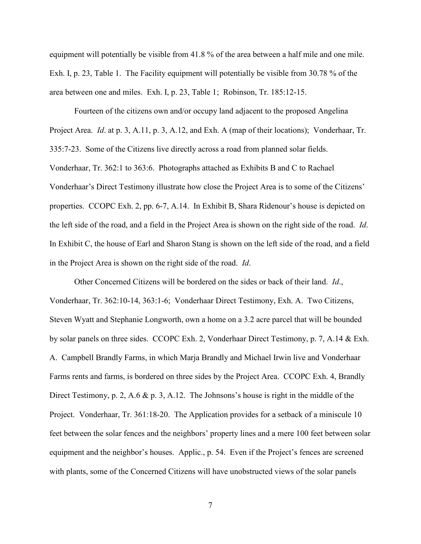equipment will potentially be visible from 41.8 % of the area between a half mile and one mile. Exh. I, p. 23, Table 1. The Facility equipment will potentially be visible from 30.78 % of the area between one and miles. Exh. I, p. 23, Table 1; Robinson, Tr. 185:12-15.

Fourteen of the citizens own and/or occupy land adjacent to the proposed Angelina Project Area. *Id*. at p. 3, A.11, p. 3, A.12, and Exh. A (map of their locations); Vonderhaar, Tr. 335:7-23. Some of the Citizens live directly across a road from planned solar fields. Vonderhaar, Tr. 362:1 to 363:6. Photographs attached as Exhibits B and C to Rachael Vonderhaar's Direct Testimony illustrate how close the Project Area is to some of the Citizens' properties. CCOPC Exh. 2, pp. 6-7, A.14. In Exhibit B, Shara Ridenour's house is depicted on the left side of the road, and a field in the Project Area is shown on the right side of the road. *Id*. In Exhibit C, the house of Earl and Sharon Stang is shown on the left side of the road, and a field in the Project Area is shown on the right side of the road. *Id*.

Other Concerned Citizens will be bordered on the sides or back of their land. *Id*., Vonderhaar, Tr. 362:10-14, 363:1-6; Vonderhaar Direct Testimony, Exh. A. Two Citizens, Steven Wyatt and Stephanie Longworth, own a home on a 3.2 acre parcel that will be bounded by solar panels on three sides. CCOPC Exh. 2, Vonderhaar Direct Testimony, p. 7, A.14 & Exh. A. Campbell Brandly Farms, in which Marja Brandly and Michael Irwin live and Vonderhaar Farms rents and farms, is bordered on three sides by the Project Area. CCOPC Exh. 4, Brandly Direct Testimony, p. 2, A.6 & p. 3, A.12. The Johnsons's house is right in the middle of the Project. Vonderhaar, Tr. 361:18-20. The Application provides for a setback of a miniscule 10 feet between the solar fences and the neighbors' property lines and a mere 100 feet between solar equipment and the neighbor's houses. Applic., p. 54. Even if the Project's fences are screened with plants, some of the Concerned Citizens will have unobstructed views of the solar panels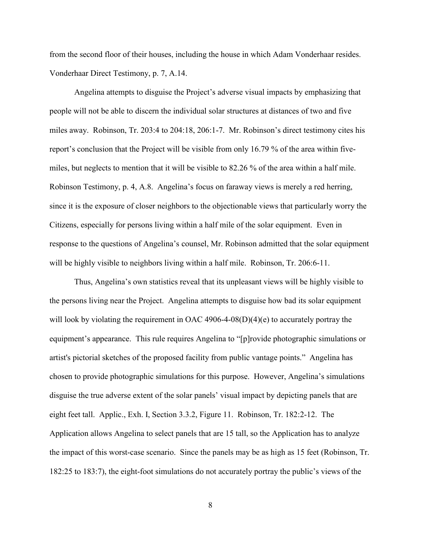from the second floor of their houses, including the house in which Adam Vonderhaar resides. Vonderhaar Direct Testimony, p. 7, A.14.

Angelina attempts to disguise the Project's adverse visual impacts by emphasizing that people will not be able to discern the individual solar structures at distances of two and five miles away. Robinson, Tr. 203:4 to 204:18, 206:1-7. Mr. Robinson's direct testimony cites his report's conclusion that the Project will be visible from only 16.79 % of the area within fivemiles, but neglects to mention that it will be visible to 82.26 % of the area within a half mile. Robinson Testimony, p. 4, A.8. Angelina's focus on faraway views is merely a red herring, since it is the exposure of closer neighbors to the objectionable views that particularly worry the Citizens, especially for persons living within a half mile of the solar equipment. Even in response to the questions of Angelina's counsel, Mr. Robinson admitted that the solar equipment will be highly visible to neighbors living within a half mile. Robinson, Tr. 206:6-11.

Thus, Angelina's own statistics reveal that its unpleasant views will be highly visible to the persons living near the Project. Angelina attempts to disguise how bad its solar equipment will look by violating the requirement in OAC 4906-4-08(D)(4)(e) to accurately portray the equipment's appearance. This rule requires Angelina to "[p]rovide photographic simulations or artist's pictorial sketches of the proposed facility from public vantage points." Angelina has chosen to provide photographic simulations for this purpose. However, Angelina's simulations disguise the true adverse extent of the solar panels' visual impact by depicting panels that are eight feet tall. Applic., Exh. I, Section 3.3.2, Figure 11. Robinson, Tr. 182:2-12. The Application allows Angelina to select panels that are 15 tall, so the Application has to analyze the impact of this worst-case scenario. Since the panels may be as high as 15 feet (Robinson, Tr. 182:25 to 183:7), the eight-foot simulations do not accurately portray the public's views of the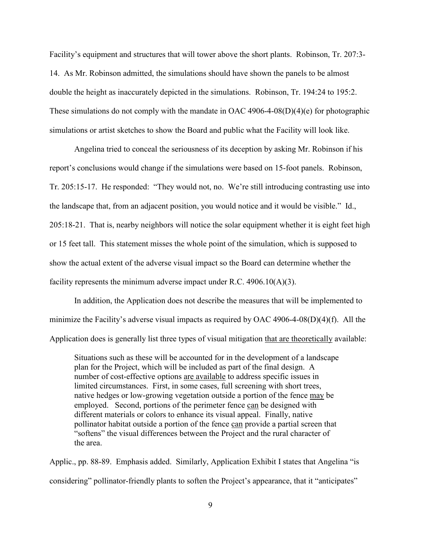Facility's equipment and structures that will tower above the short plants. Robinson, Tr. 207:3- 14. As Mr. Robinson admitted, the simulations should have shown the panels to be almost double the height as inaccurately depicted in the simulations. Robinson, Tr. 194:24 to 195:2. These simulations do not comply with the mandate in OAC 4906-4-08(D)(4)(e) for photographic simulations or artist sketches to show the Board and public what the Facility will look like.

Angelina tried to conceal the seriousness of its deception by asking Mr. Robinson if his report's conclusions would change if the simulations were based on 15-foot panels. Robinson, Tr. 205:15-17. He responded: "They would not, no. We're still introducing contrasting use into the landscape that, from an adjacent position, you would notice and it would be visible." Id., 205:18-21. That is, nearby neighbors will notice the solar equipment whether it is eight feet high or 15 feet tall. This statement misses the whole point of the simulation, which is supposed to show the actual extent of the adverse visual impact so the Board can determine whether the facility represents the minimum adverse impact under R.C. 4906.10(A)(3).

In addition, the Application does not describe the measures that will be implemented to minimize the Facility's adverse visual impacts as required by OAC 4906-4-08(D)(4)(f). All the Application does is generally list three types of visual mitigation that are theoretically available:

Situations such as these will be accounted for in the development of a landscape plan for the Project, which will be included as part of the final design. A number of cost-effective options are available to address specific issues in limited circumstances. First, in some cases, full screening with short trees, native hedges or low-growing vegetation outside a portion of the fence may be employed. Second, portions of the perimeter fence can be designed with different materials or colors to enhance its visual appeal. Finally, native pollinator habitat outside a portion of the fence can provide a partial screen that "softens" the visual differences between the Project and the rural character of the area.

Applic., pp. 88-89. Emphasis added. Similarly, Application Exhibit I states that Angelina "is considering" pollinator-friendly plants to soften the Project's appearance, that it "anticipates"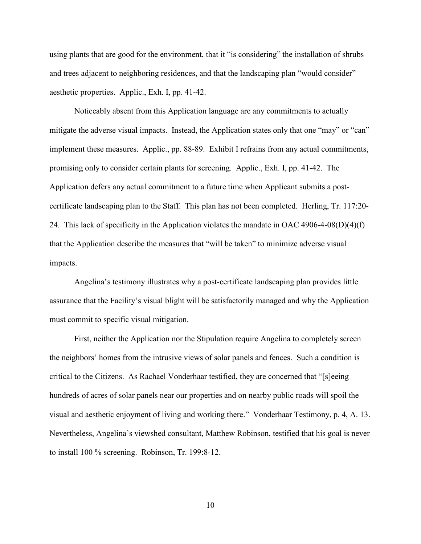using plants that are good for the environment, that it "is considering" the installation of shrubs and trees adjacent to neighboring residences, and that the landscaping plan "would consider" aesthetic properties. Applic., Exh. I, pp. 41-42.

Noticeably absent from this Application language are any commitments to actually mitigate the adverse visual impacts. Instead, the Application states only that one "may" or "can" implement these measures. Applic., pp. 88-89. Exhibit I refrains from any actual commitments, promising only to consider certain plants for screening. Applic., Exh. I, pp. 41-42. The Application defers any actual commitment to a future time when Applicant submits a postcertificate landscaping plan to the Staff. This plan has not been completed. Herling, Tr. 117:20- 24. This lack of specificity in the Application violates the mandate in OAC 4906-4-08(D)(4)(f) that the Application describe the measures that "will be taken" to minimize adverse visual impacts.

Angelina's testimony illustrates why a post-certificate landscaping plan provides little assurance that the Facility's visual blight will be satisfactorily managed and why the Application must commit to specific visual mitigation.

First, neither the Application nor the Stipulation require Angelina to completely screen the neighbors' homes from the intrusive views of solar panels and fences. Such a condition is critical to the Citizens. As Rachael Vonderhaar testified, they are concerned that "[s]eeing hundreds of acres of solar panels near our properties and on nearby public roads will spoil the visual and aesthetic enjoyment of living and working there." Vonderhaar Testimony, p. 4, A. 13. Nevertheless, Angelina's viewshed consultant, Matthew Robinson, testified that his goal is never to install 100 % screening. Robinson, Tr. 199:8-12.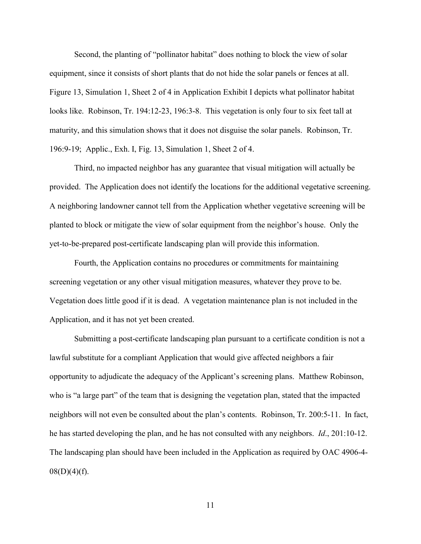Second, the planting of "pollinator habitat" does nothing to block the view of solar equipment, since it consists of short plants that do not hide the solar panels or fences at all. Figure 13, Simulation 1, Sheet 2 of 4 in Application Exhibit I depicts what pollinator habitat looks like. Robinson, Tr. 194:12-23, 196:3-8. This vegetation is only four to six feet tall at maturity, and this simulation shows that it does not disguise the solar panels. Robinson, Tr. 196:9-19; Applic., Exh. I, Fig. 13, Simulation 1, Sheet 2 of 4.

Third, no impacted neighbor has any guarantee that visual mitigation will actually be provided. The Application does not identify the locations for the additional vegetative screening. A neighboring landowner cannot tell from the Application whether vegetative screening will be planted to block or mitigate the view of solar equipment from the neighbor's house. Only the yet-to-be-prepared post-certificate landscaping plan will provide this information.

Fourth, the Application contains no procedures or commitments for maintaining screening vegetation or any other visual mitigation measures, whatever they prove to be. Vegetation does little good if it is dead. A vegetation maintenance plan is not included in the Application, and it has not yet been created.

Submitting a post-certificate landscaping plan pursuant to a certificate condition is not a lawful substitute for a compliant Application that would give affected neighbors a fair opportunity to adjudicate the adequacy of the Applicant's screening plans. Matthew Robinson, who is "a large part" of the team that is designing the vegetation plan, stated that the impacted neighbors will not even be consulted about the plan's contents. Robinson, Tr. 200:5-11. In fact, he has started developing the plan, and he has not consulted with any neighbors. *Id*., 201:10-12. The landscaping plan should have been included in the Application as required by OAC 4906-4-  $08(D)(4)(f)$ .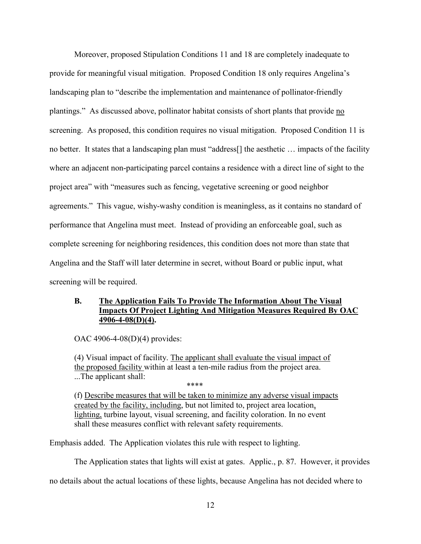Moreover, proposed Stipulation Conditions 11 and 18 are completely inadequate to provide for meaningful visual mitigation. Proposed Condition 18 only requires Angelina's landscaping plan to "describe the implementation and maintenance of pollinator-friendly plantings." As discussed above, pollinator habitat consists of short plants that provide no screening. As proposed, this condition requires no visual mitigation. Proposed Condition 11 is no better. It states that a landscaping plan must "address[] the aesthetic … impacts of the facility where an adjacent non-participating parcel contains a residence with a direct line of sight to the project area" with "measures such as fencing, vegetative screening or good neighbor agreements." This vague, wishy-washy condition is meaningless, as it contains no standard of performance that Angelina must meet. Instead of providing an enforceable goal, such as complete screening for neighboring residences, this condition does not more than state that Angelina and the Staff will later determine in secret, without Board or public input, what screening will be required.

## **B. The Application Fails To Provide The Information About The Visual Impacts Of Project Lighting And Mitigation Measures Required By OAC 4906-4-08(D)(4).**

OAC 4906-4-08(D)(4) provides:

(4) Visual impact of facility. The applicant shall evaluate the visual impact of the proposed facility within at least a ten-mile radius from the project area. ...The applicant shall:

\*\*\*\*

(f) Describe measures that will be taken to minimize any adverse visual impacts created by the facility, including, but not limited to, project area location, lighting, turbine layout, visual screening, and facility coloration. In no event shall these measures conflict with relevant safety requirements.

Emphasis added. The Application violates this rule with respect to lighting.

The Application states that lights will exist at gates. Applic., p. 87. However, it provides

no details about the actual locations of these lights, because Angelina has not decided where to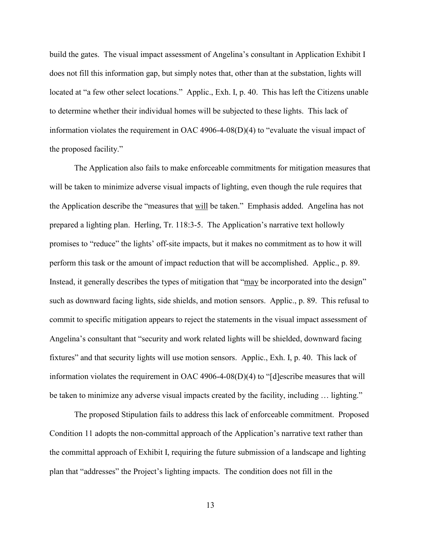build the gates. The visual impact assessment of Angelina's consultant in Application Exhibit I does not fill this information gap, but simply notes that, other than at the substation, lights will located at "a few other select locations." Applic., Exh. I, p. 40. This has left the Citizens unable to determine whether their individual homes will be subjected to these lights. This lack of information violates the requirement in OAC 4906-4-08(D)(4) to "evaluate the visual impact of the proposed facility."

The Application also fails to make enforceable commitments for mitigation measures that will be taken to minimize adverse visual impacts of lighting, even though the rule requires that the Application describe the "measures that will be taken." Emphasis added. Angelina has not prepared a lighting plan. Herling, Tr. 118:3-5. The Application's narrative text hollowly promises to "reduce" the lights' off-site impacts, but it makes no commitment as to how it will perform this task or the amount of impact reduction that will be accomplished. Applic., p. 89. Instead, it generally describes the types of mitigation that "may be incorporated into the design" such as downward facing lights, side shields, and motion sensors. Applic., p. 89. This refusal to commit to specific mitigation appears to reject the statements in the visual impact assessment of Angelina's consultant that "security and work related lights will be shielded, downward facing fixtures" and that security lights will use motion sensors. Applic., Exh. I, p. 40. This lack of information violates the requirement in OAC 4906-4-08(D)(4) to "[d]escribe measures that will be taken to minimize any adverse visual impacts created by the facility, including ... lighting."

The proposed Stipulation fails to address this lack of enforceable commitment. Proposed Condition 11 adopts the non-committal approach of the Application's narrative text rather than the committal approach of Exhibit I, requiring the future submission of a landscape and lighting plan that "addresses" the Project's lighting impacts. The condition does not fill in the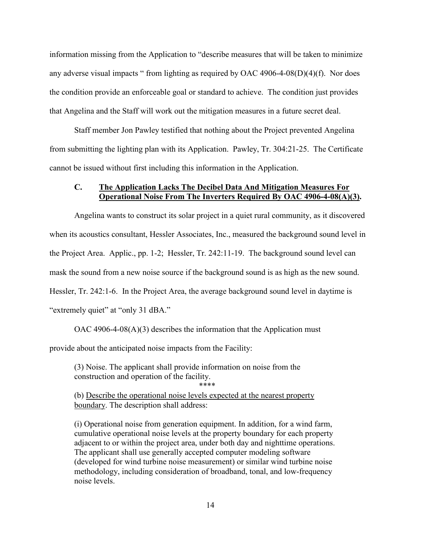information missing from the Application to "describe measures that will be taken to minimize any adverse visual impacts " from lighting as required by OAC 4906-4-08(D)(4)(f). Nor does the condition provide an enforceable goal or standard to achieve. The condition just provides that Angelina and the Staff will work out the mitigation measures in a future secret deal.

Staff member Jon Pawley testified that nothing about the Project prevented Angelina from submitting the lighting plan with its Application. Pawley, Tr. 304:21-25. The Certificate cannot be issued without first including this information in the Application.

## **C. The Application Lacks The Decibel Data And Mitigation Measures For Operational Noise From The Inverters Required By OAC 4906-4-08(A)(3).**

Angelina wants to construct its solar project in a quiet rural community, as it discovered when its acoustics consultant, Hessler Associates, Inc., measured the background sound level in the Project Area. Applic., pp. 1-2; Hessler, Tr. 242:11-19. The background sound level can mask the sound from a new noise source if the background sound is as high as the new sound. Hessler, Tr. 242:1-6. In the Project Area, the average background sound level in daytime is "extremely quiet" at "only 31 dBA."

OAC 4906-4-08(A)(3) describes the information that the Application must

provide about the anticipated noise impacts from the Facility:

(3) Noise. The applicant shall provide information on noise from the construction and operation of the facility.

\*\*\*\*

(b) Describe the operational noise levels expected at the nearest property boundary. The description shall address:

(i) Operational noise from generation equipment. In addition, for a wind farm, cumulative operational noise levels at the property boundary for each property adjacent to or within the project area, under both day and nighttime operations. The applicant shall use generally accepted computer modeling software (developed for wind turbine noise measurement) or similar wind turbine noise methodology, including consideration of broadband, tonal, and low-frequency noise levels.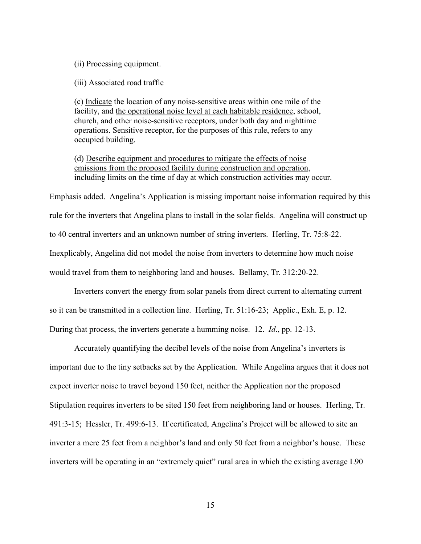(ii) Processing equipment.

(iii) Associated road traffic

(c) Indicate the location of any noise-sensitive areas within one mile of the facility, and the operational noise level at each habitable residence, school, church, and other noise-sensitive receptors, under both day and nighttime operations. Sensitive receptor, for the purposes of this rule, refers to any occupied building.

(d) Describe equipment and procedures to mitigate the effects of noise emissions from the proposed facility during construction and operation, including limits on the time of day at which construction activities may occur.

Emphasis added. Angelina's Application is missing important noise information required by this rule for the inverters that Angelina plans to install in the solar fields. Angelina will construct up to 40 central inverters and an unknown number of string inverters. Herling, Tr. 75:8-22. Inexplicably, Angelina did not model the noise from inverters to determine how much noise would travel from them to neighboring land and houses. Bellamy, Tr. 312:20-22.

Inverters convert the energy from solar panels from direct current to alternating current so it can be transmitted in a collection line. Herling, Tr. 51:16-23; Applic., Exh. E, p. 12. During that process, the inverters generate a humming noise. 12. *Id*., pp. 12-13.

Accurately quantifying the decibel levels of the noise from Angelina's inverters is important due to the tiny setbacks set by the Application. While Angelina argues that it does not expect inverter noise to travel beyond 150 feet, neither the Application nor the proposed Stipulation requires inverters to be sited 150 feet from neighboring land or houses. Herling, Tr. 491:3-15; Hessler, Tr. 499:6-13. If certificated, Angelina's Project will be allowed to site an inverter a mere 25 feet from a neighbor's land and only 50 feet from a neighbor's house. These inverters will be operating in an "extremely quiet" rural area in which the existing average L90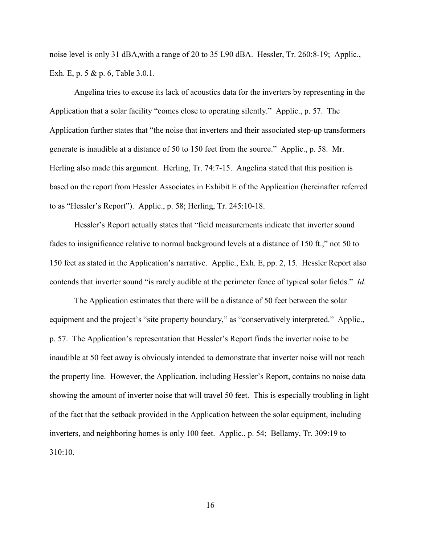noise level is only 31 dBA,with a range of 20 to 35 L90 dBA. Hessler, Tr. 260:8-19; Applic., Exh. E, p. 5 & p. 6, Table 3.0.1.

Angelina tries to excuse its lack of acoustics data for the inverters by representing in the Application that a solar facility "comes close to operating silently." Applic., p. 57. The Application further states that "the noise that inverters and their associated step-up transformers generate is inaudible at a distance of 50 to 150 feet from the source." Applic., p. 58. Mr. Herling also made this argument. Herling, Tr. 74:7-15. Angelina stated that this position is based on the report from Hessler Associates in Exhibit E of the Application (hereinafter referred to as "Hessler's Report"). Applic., p. 58; Herling, Tr. 245:10-18.

Hessler's Report actually states that "field measurements indicate that inverter sound fades to insignificance relative to normal background levels at a distance of 150 ft.," not 50 to 150 feet as stated in the Application's narrative. Applic., Exh. E, pp. 2, 15. Hessler Report also contends that inverter sound "is rarely audible at the perimeter fence of typical solar fields." *Id*.

The Application estimates that there will be a distance of 50 feet between the solar equipment and the project's "site property boundary," as "conservatively interpreted." Applic., p. 57. The Application's representation that Hessler's Report finds the inverter noise to be inaudible at 50 feet away is obviously intended to demonstrate that inverter noise will not reach the property line. However, the Application, including Hessler's Report, contains no noise data showing the amount of inverter noise that will travel 50 feet. This is especially troubling in light of the fact that the setback provided in the Application between the solar equipment, including inverters, and neighboring homes is only 100 feet. Applic., p. 54; Bellamy, Tr. 309:19 to 310:10.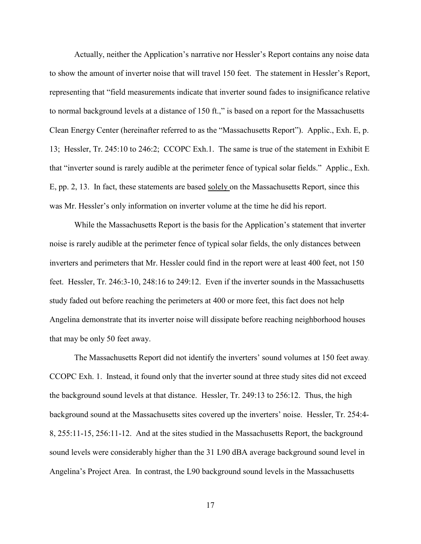Actually, neither the Application's narrative nor Hessler's Report contains any noise data to show the amount of inverter noise that will travel 150 feet. The statement in Hessler's Report, representing that "field measurements indicate that inverter sound fades to insignificance relative to normal background levels at a distance of 150 ft.," is based on a report for the Massachusetts Clean Energy Center (hereinafter referred to as the "Massachusetts Report"). Applic., Exh. E, p. 13; Hessler, Tr. 245:10 to 246:2; CCOPC Exh.1. The same is true of the statement in Exhibit E that "inverter sound is rarely audible at the perimeter fence of typical solar fields." Applic., Exh. E, pp. 2, 13. In fact, these statements are based solely on the Massachusetts Report, since this was Mr. Hessler's only information on inverter volume at the time he did his report.

While the Massachusetts Report is the basis for the Application's statement that inverter noise is rarely audible at the perimeter fence of typical solar fields, the only distances between inverters and perimeters that Mr. Hessler could find in the report were at least 400 feet, not 150 feet. Hessler, Tr. 246:3-10, 248:16 to 249:12. Even if the inverter sounds in the Massachusetts study faded out before reaching the perimeters at 400 or more feet, this fact does not help Angelina demonstrate that its inverter noise will dissipate before reaching neighborhood houses that may be only 50 feet away.

The Massachusetts Report did not identify the inverters' sound volumes at 150 feet away. CCOPC Exh. 1. Instead, it found only that the inverter sound at three study sites did not exceed the background sound levels at that distance. Hessler, Tr. 249:13 to 256:12. Thus, the high background sound at the Massachusetts sites covered up the inverters' noise. Hessler, Tr. 254:4- 8, 255:11-15, 256:11-12. And at the sites studied in the Massachusetts Report, the background sound levels were considerably higher than the 31 L90 dBA average background sound level in Angelina's Project Area. In contrast, the L90 background sound levels in the Massachusetts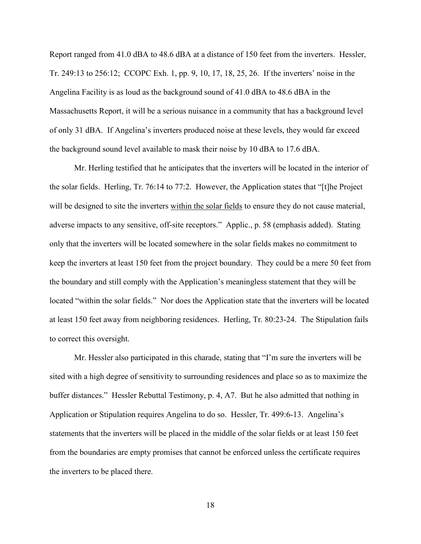Report ranged from 41.0 dBA to 48.6 dBA at a distance of 150 feet from the inverters. Hessler, Tr. 249:13 to 256:12; CCOPC Exh. 1, pp. 9, 10, 17, 18, 25, 26. If the inverters' noise in the Angelina Facility is as loud as the background sound of 41.0 dBA to 48.6 dBA in the Massachusetts Report, it will be a serious nuisance in a community that has a background level of only 31 dBA. If Angelina's inverters produced noise at these levels, they would far exceed the background sound level available to mask their noise by 10 dBA to 17.6 dBA.

Mr. Herling testified that he anticipates that the inverters will be located in the interior of the solar fields. Herling, Tr. 76:14 to 77:2. However, the Application states that "[t]he Project will be designed to site the inverters within the solar fields to ensure they do not cause material, adverse impacts to any sensitive, off-site receptors." Applic., p. 58 (emphasis added). Stating only that the inverters will be located somewhere in the solar fields makes no commitment to keep the inverters at least 150 feet from the project boundary. They could be a mere 50 feet from the boundary and still comply with the Application's meaningless statement that they will be located "within the solar fields." Nor does the Application state that the inverters will be located at least 150 feet away from neighboring residences. Herling, Tr. 80:23-24. The Stipulation fails to correct this oversight.

Mr. Hessler also participated in this charade, stating that "I'm sure the inverters will be sited with a high degree of sensitivity to surrounding residences and place so as to maximize the buffer distances." Hessler Rebuttal Testimony, p. 4, A7. But he also admitted that nothing in Application or Stipulation requires Angelina to do so. Hessler, Tr. 499:6-13. Angelina's statements that the inverters will be placed in the middle of the solar fields or at least 150 feet from the boundaries are empty promises that cannot be enforced unless the certificate requires the inverters to be placed there.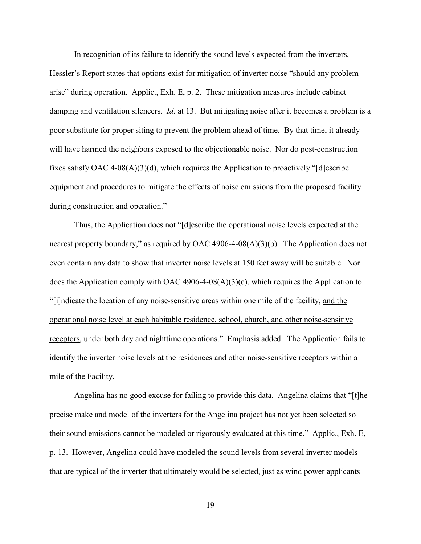In recognition of its failure to identify the sound levels expected from the inverters, Hessler's Report states that options exist for mitigation of inverter noise "should any problem arise" during operation. Applic., Exh. E, p. 2. These mitigation measures include cabinet damping and ventilation silencers. *Id*. at 13. But mitigating noise after it becomes a problem is a poor substitute for proper siting to prevent the problem ahead of time. By that time, it already will have harmed the neighbors exposed to the objectionable noise. Nor do post-construction fixes satisfy OAC 4-08(A)(3)(d), which requires the Application to proactively "[d]escribe equipment and procedures to mitigate the effects of noise emissions from the proposed facility during construction and operation."

Thus, the Application does not "[d]escribe the operational noise levels expected at the nearest property boundary," as required by OAC 4906-4-08(A)(3)(b). The Application does not even contain any data to show that inverter noise levels at 150 feet away will be suitable. Nor does the Application comply with OAC 4906-4-08(A)(3)(c), which requires the Application to "[i]ndicate the location of any noise-sensitive areas within one mile of the facility, and the operational noise level at each habitable residence, school, church, and other noise-sensitive receptors, under both day and nighttime operations." Emphasis added. The Application fails to identify the inverter noise levels at the residences and other noise-sensitive receptors within a mile of the Facility.

Angelina has no good excuse for failing to provide this data. Angelina claims that "[t]he precise make and model of the inverters for the Angelina project has not yet been selected so their sound emissions cannot be modeled or rigorously evaluated at this time." Applic., Exh. E, p. 13. However, Angelina could have modeled the sound levels from several inverter models that are typical of the inverter that ultimately would be selected, just as wind power applicants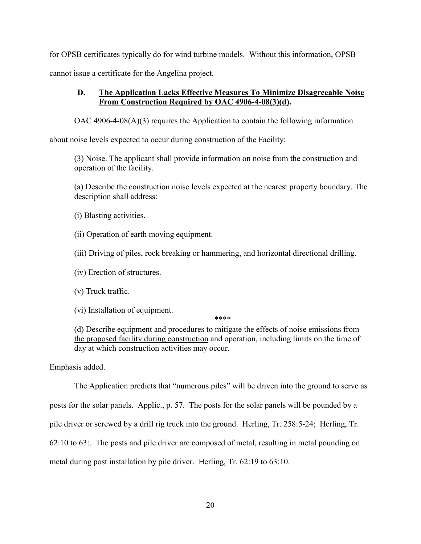for OPSB certificates typically do for wind turbine models. Without this information, OPSB cannot issue a certificate for the Angelina project.

# **D. The Application Lacks Effective Measures To Minimize Disagreeable Noise From Construction Required by OAC 4906-4-08(3)(d).**

OAC 4906-4-08(A)(3) requires the Application to contain the following information

about noise levels expected to occur during construction of the Facility:

(3) Noise. The applicant shall provide information on noise from the construction and operation of the facility.

(a) Describe the construction noise levels expected at the nearest property boundary. The description shall address:

(i) Blasting activities.

(ii) Operation of earth moving equipment.

(iii) Driving of piles, rock breaking or hammering, and horizontal directional drilling.

(iv) Erection of structures.

(v) Truck traffic.

(vi) Installation of equipment.

\*\*\*\*

(d) Describe equipment and procedures to mitigate the effects of noise emissions from the proposed facility during construction and operation, including limits on the time of day at which construction activities may occur.

Emphasis added.

The Application predicts that "numerous piles" will be driven into the ground to serve as

posts for the solar panels. Applic., p. 57. The posts for the solar panels will be pounded by a

pile driver or screwed by a drill rig truck into the ground. Herling, Tr. 258:5-24; Herling, Tr.

62:10 to 63:. The posts and pile driver are composed of metal, resulting in metal pounding on

metal during post installation by pile driver. Herling, Tr. 62:19 to 63:10.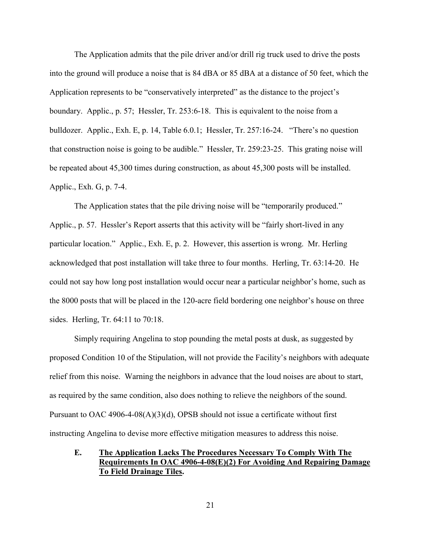The Application admits that the pile driver and/or drill rig truck used to drive the posts into the ground will produce a noise that is 84 dBA or 85 dBA at a distance of 50 feet, which the Application represents to be "conservatively interpreted" as the distance to the project's boundary. Applic., p. 57; Hessler, Tr. 253:6-18. This is equivalent to the noise from a bulldozer. Applic., Exh. E, p. 14, Table 6.0.1; Hessler, Tr. 257:16-24. "There's no question that construction noise is going to be audible." Hessler, Tr. 259:23-25. This grating noise will be repeated about 45,300 times during construction, as about 45,300 posts will be installed. Applic., Exh. G, p. 7-4.

The Application states that the pile driving noise will be "temporarily produced." Applic., p. 57. Hessler's Report asserts that this activity will be "fairly short-lived in any particular location." Applic., Exh. E, p. 2. However, this assertion is wrong. Mr. Herling acknowledged that post installation will take three to four months. Herling, Tr. 63:14-20. He could not say how long post installation would occur near a particular neighbor's home, such as the 8000 posts that will be placed in the 120-acre field bordering one neighbor's house on three sides. Herling, Tr. 64:11 to 70:18.

Simply requiring Angelina to stop pounding the metal posts at dusk, as suggested by proposed Condition 10 of the Stipulation, will not provide the Facility's neighbors with adequate relief from this noise. Warning the neighbors in advance that the loud noises are about to start, as required by the same condition, also does nothing to relieve the neighbors of the sound. Pursuant to OAC 4906-4-08(A)(3)(d), OPSB should not issue a certificate without first instructing Angelina to devise more effective mitigation measures to address this noise.

## **E. The Application Lacks The Procedures Necessary To Comply With The Requirements In OAC 4906-4-08(E)(2) For Avoiding And Repairing Damage To Field Drainage Tiles.**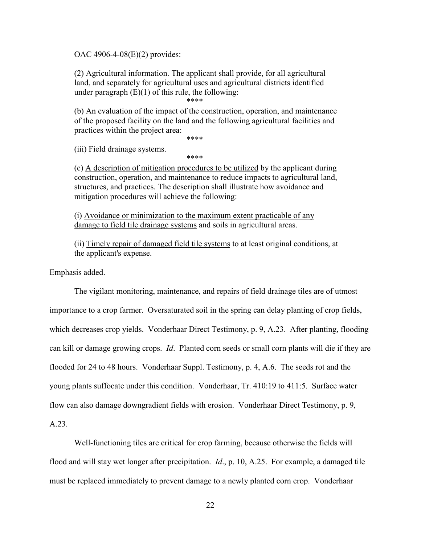OAC 4906-4-08(E)(2) provides:

(2) Agricultural information. The applicant shall provide, for all agricultural land, and separately for agricultural uses and agricultural districts identified under paragraph  $(E)(1)$  of this rule, the following: \*\*\*\*

(b) An evaluation of the impact of the construction, operation, and maintenance of the proposed facility on the land and the following agricultural facilities and practices within the project area:

\*\*\*\*

(iii) Field drainage systems.

\*\*\*\*

(c) A description of mitigation procedures to be utilized by the applicant during construction, operation, and maintenance to reduce impacts to agricultural land, structures, and practices. The description shall illustrate how avoidance and mitigation procedures will achieve the following:

(i) Avoidance or minimization to the maximum extent practicable of any damage to field tile drainage systems and soils in agricultural areas.

(ii) Timely repair of damaged field tile systems to at least original conditions, at the applicant's expense.

Emphasis added.

The vigilant monitoring, maintenance, and repairs of field drainage tiles are of utmost importance to a crop farmer. Oversaturated soil in the spring can delay planting of crop fields, which decreases crop yields. Vonderhaar Direct Testimony, p. 9, A.23. After planting, flooding can kill or damage growing crops. *Id*. Planted corn seeds or small corn plants will die if they are flooded for 24 to 48 hours. Vonderhaar Suppl. Testimony, p. 4, A.6. The seeds rot and the young plants suffocate under this condition. Vonderhaar, Tr. 410:19 to 411:5. Surface water flow can also damage downgradient fields with erosion. Vonderhaar Direct Testimony, p. 9, A.23.

Well-functioning tiles are critical for crop farming, because otherwise the fields will flood and will stay wet longer after precipitation. *Id*., p. 10, A.25. For example, a damaged tile must be replaced immediately to prevent damage to a newly planted corn crop. Vonderhaar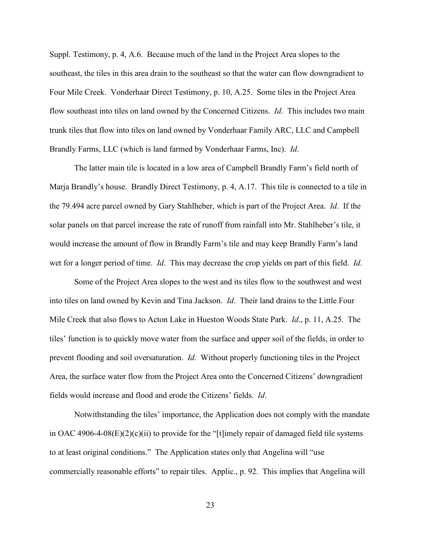Suppl. Testimony, p. 4, A.6.Because much of the land in the Project Area slopes to the southeast, the tiles in this area drain to the southeast so that the water can flow downgradient to Four Mile Creek. Vonderhaar Direct Testimony, p. 10, A.25. Some tiles in the Project Area flow southeast into tiles on land owned by the Concerned Citizens. *Id*. This includes two main trunk tiles that flow into tiles on land owned by Vonderhaar Family ARC, LLC and Campbell Brandly Farms, LLC (which is land farmed by Vonderhaar Farms, Inc). *Id*.

The latter main tile is located in a low area of Campbell Brandly Farm's field north of Marja Brandly's house. Brandly Direct Testimony, p. 4, A.17. This tile is connected to a tile in the 79.494 acre parcel owned by Gary Stahlheber, which is part of the Project Area. *Id*. If the solar panels on that parcel increase the rate of runoff from rainfall into Mr. Stahlheber's tile, it would increase the amount of flow in Brandly Farm's tile and may keep Brandly Farm's land wet for a longer period of time. *Id*. This may decrease the crop yields on part of this field. *Id*.

Some of the Project Area slopes to the west and its tiles flow to the southwest and west into tiles on land owned by Kevin and Tina Jackson. *Id*. Their land drains to the Little Four Mile Creek that also flows to Acton Lake in Hueston Woods State Park. *Id*., p. 11, A.25. The tiles' function is to quickly move water from the surface and upper soil of the fields, in order to prevent flooding and soil oversaturation. *Id*. Without properly functioning tiles in the Project Area, the surface water flow from the Project Area onto the Concerned Citizens' downgradient fields would increase and flood and erode the Citizens' fields. *Id*.

Notwithstanding the tiles' importance, the Application does not comply with the mandate in OAC 4906-4-08(E)(2)(c)(ii) to provide for the "[t]imely repair of damaged field tile systems to at least original conditions." The Application states only that Angelina will "use commercially reasonable efforts" to repair tiles. Applic., p. 92. This implies that Angelina will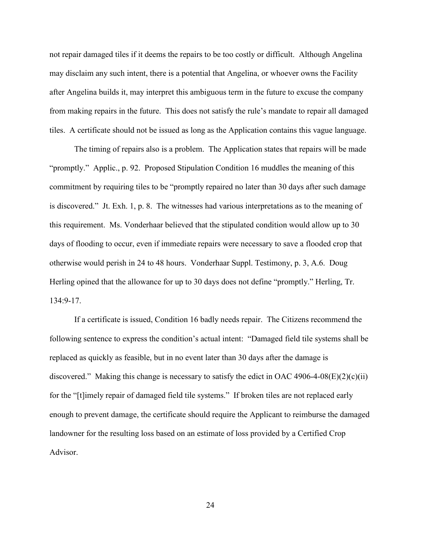not repair damaged tiles if it deems the repairs to be too costly or difficult. Although Angelina may disclaim any such intent, there is a potential that Angelina, or whoever owns the Facility after Angelina builds it, may interpret this ambiguous term in the future to excuse the company from making repairs in the future. This does not satisfy the rule's mandate to repair all damaged tiles. A certificate should not be issued as long as the Application contains this vague language.

The timing of repairs also is a problem. The Application states that repairs will be made "promptly." Applic., p. 92. Proposed Stipulation Condition 16 muddles the meaning of this commitment by requiring tiles to be "promptly repaired no later than 30 days after such damage is discovered." Jt. Exh. 1, p. 8. The witnesses had various interpretations as to the meaning of this requirement. Ms. Vonderhaar believed that the stipulated condition would allow up to 30 days of flooding to occur, even if immediate repairs were necessary to save a flooded crop that otherwise would perish in 24 to 48 hours. Vonderhaar Suppl. Testimony, p. 3, A.6. Doug Herling opined that the allowance for up to 30 days does not define "promptly." Herling, Tr. 134:9-17.

If a certificate is issued, Condition 16 badly needs repair. The Citizens recommend the following sentence to express the condition's actual intent: "Damaged field tile systems shall be replaced as quickly as feasible, but in no event later than 30 days after the damage is discovered." Making this change is necessary to satisfy the edict in OAC 4906-4-08(E)(2)(c)(ii) for the "[t]imely repair of damaged field tile systems." If broken tiles are not replaced early enough to prevent damage, the certificate should require the Applicant to reimburse the damaged landowner for the resulting loss based on an estimate of loss provided by a Certified Crop Advisor.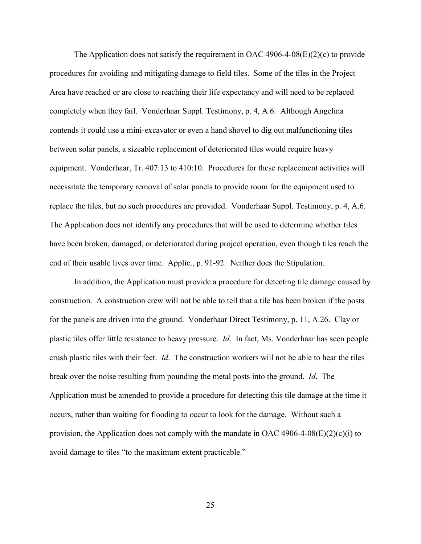The Application does not satisfy the requirement in OAC 4906-4-08 $(E)(2)(c)$  to provide procedures for avoiding and mitigating damage to field tiles. Some of the tiles in the Project Area have reached or are close to reaching their life expectancy and will need to be replaced completely when they fail. Vonderhaar Suppl. Testimony, p. 4, A.6. Although Angelina contends it could use a mini-excavator or even a hand shovel to dig out malfunctioning tiles between solar panels, a sizeable replacement of deteriorated tiles would require heavy equipment. Vonderhaar, Tr. 407:13 to 410:10. Procedures for these replacement activities will necessitate the temporary removal of solar panels to provide room for the equipment used to replace the tiles, but no such procedures are provided. Vonderhaar Suppl. Testimony, p. 4, A.6. The Application does not identify any procedures that will be used to determine whether tiles have been broken, damaged, or deteriorated during project operation, even though tiles reach the end of their usable lives over time. Applic., p. 91-92. Neither does the Stipulation.

In addition, the Application must provide a procedure for detecting tile damage caused by construction. A construction crew will not be able to tell that a tile has been broken if the posts for the panels are driven into the ground. Vonderhaar Direct Testimony, p. 11, A.26. Clay or plastic tiles offer little resistance to heavy pressure. *Id*. In fact, Ms. Vonderhaar has seen people crush plastic tiles with their feet. *Id*. The construction workers will not be able to hear the tiles break over the noise resulting from pounding the metal posts into the ground. *Id*. The Application must be amended to provide a procedure for detecting this tile damage at the time it occurs, rather than waiting for flooding to occur to look for the damage. Without such a provision, the Application does not comply with the mandate in OAC 4906-4-08 $(E)(2)(c)(i)$  to avoid damage to tiles "to the maximum extent practicable."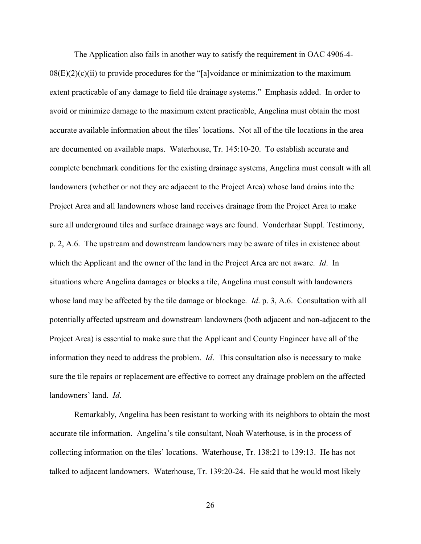The Application also fails in another way to satisfy the requirement in OAC 4906-4-  $08(E)(2)(c)(ii)$  to provide procedures for the "[a]voidance or minimization to the maximum extent practicable of any damage to field tile drainage systems." Emphasis added. In order to avoid or minimize damage to the maximum extent practicable, Angelina must obtain the most accurate available information about the tiles' locations. Not all of the tile locations in the area are documented on available maps. Waterhouse, Tr. 145:10-20.To establish accurate and complete benchmark conditions for the existing drainage systems, Angelina must consult with all landowners (whether or not they are adjacent to the Project Area) whose land drains into the Project Area and all landowners whose land receives drainage from the Project Area to make sure all underground tiles and surface drainage ways are found. Vonderhaar Suppl. Testimony, p. 2, A.6. The upstream and downstream landowners may be aware of tiles in existence about which the Applicant and the owner of the land in the Project Area are not aware. *Id*. In situations where Angelina damages or blocks a tile, Angelina must consult with landowners whose land may be affected by the tile damage or blockage. *Id*. p. 3, A.6. Consultation with all potentially affected upstream and downstream landowners (both adjacent and non-adjacent to the Project Area) is essential to make sure that the Applicant and County Engineer have all of the information they need to address the problem. *Id*. This consultation also is necessary to make sure the tile repairs or replacement are effective to correct any drainage problem on the affected landowners' land. *Id*.

Remarkably, Angelina has been resistant to working with its neighbors to obtain the most accurate tile information. Angelina's tile consultant, Noah Waterhouse, is in the process of collecting information on the tiles' locations. Waterhouse, Tr. 138:21 to 139:13. He has not talked to adjacent landowners. Waterhouse, Tr. 139:20-24. He said that he would most likely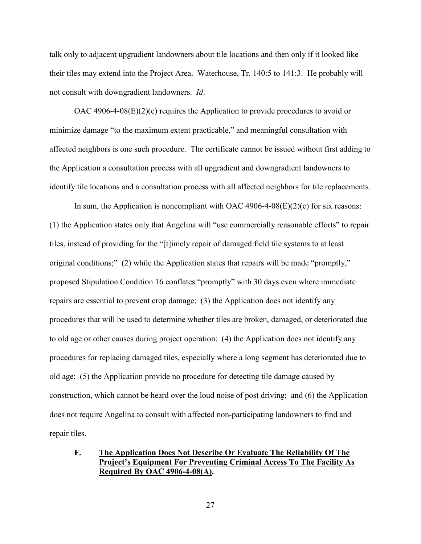talk only to adjacent upgradient landowners about tile locations and then only if it looked like their tiles may extend into the Project Area. Waterhouse, Tr. 140:5 to 141:3. He probably will not consult with downgradient landowners. *Id*.

OAC 4906-4-08 $(E)(2)(c)$  requires the Application to provide procedures to avoid or minimize damage "to the maximum extent practicable," and meaningful consultation with affected neighbors is one such procedure. The certificate cannot be issued without first adding to the Application a consultation process with all upgradient and downgradient landowners to identify tile locations and a consultation process with all affected neighbors for tile replacements.

In sum, the Application is noncompliant with OAC 4906-4-08( $E$ )(2)(c) for six reasons: (1) the Application states only that Angelina will "use commercially reasonable efforts" to repair tiles, instead of providing for the "[t]imely repair of damaged field tile systems to at least original conditions;" (2) while the Application states that repairs will be made "promptly," proposed Stipulation Condition 16 conflates "promptly" with 30 days even where immediate repairs are essential to prevent crop damage; (3) the Application does not identify any procedures that will be used to determine whether tiles are broken, damaged, or deteriorated due to old age or other causes during project operation; (4) the Application does not identify any procedures for replacing damaged tiles, especially where a long segment has deteriorated due to old age; (5) the Application provide no procedure for detecting tile damage caused by construction, which cannot be heard over the loud noise of post driving; and (6) the Application does not require Angelina to consult with affected non-participating landowners to find and repair tiles.

## **F. The Application Does Not Describe Or Evaluate The Reliability Of The Project's Equipment For Preventing Criminal Access To The Facility As Required By OAC 4906-4-08(A).**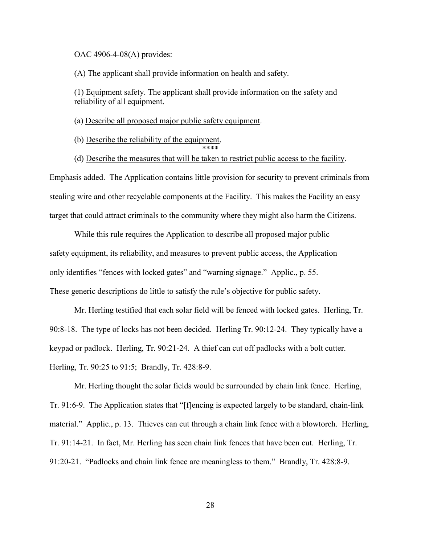OAC 4906-4-08(A) provides:

(A) The applicant shall provide information on health and safety.

(1) Equipment safety. The applicant shall provide information on the safety and reliability of all equipment.

(a) Describe all proposed major public safety equipment.

(b) Describe the reliability of the equipment.

\*\*\*\*

(d) Describe the measures that will be taken to restrict public access to the facility.

Emphasis added. The Application contains little provision for security to prevent criminals from stealing wire and other recyclable components at the Facility. This makes the Facility an easy target that could attract criminals to the community where they might also harm the Citizens.

While this rule requires the Application to describe all proposed major public safety equipment, its reliability, and measures to prevent public access, the Application only identifies "fences with locked gates" and "warning signage." Applic., p. 55. These generic descriptions do little to satisfy the rule's objective for public safety.

Mr. Herling testified that each solar field will be fenced with locked gates. Herling, Tr. 90:8-18. The type of locks has not been decided. Herling Tr. 90:12-24. They typically have a keypad or padlock. Herling, Tr. 90:21-24. A thief can cut off padlocks with a bolt cutter. Herling, Tr. 90:25 to 91:5; Brandly, Tr. 428:8-9.

Mr. Herling thought the solar fields would be surrounded by chain link fence. Herling, Tr. 91:6-9. The Application states that "[f]encing is expected largely to be standard, chain-link material." Applic., p. 13. Thieves can cut through a chain link fence with a blowtorch. Herling, Tr. 91:14-21. In fact, Mr. Herling has seen chain link fences that have been cut. Herling, Tr. 91:20-21. "Padlocks and chain link fence are meaningless to them." Brandly, Tr. 428:8-9.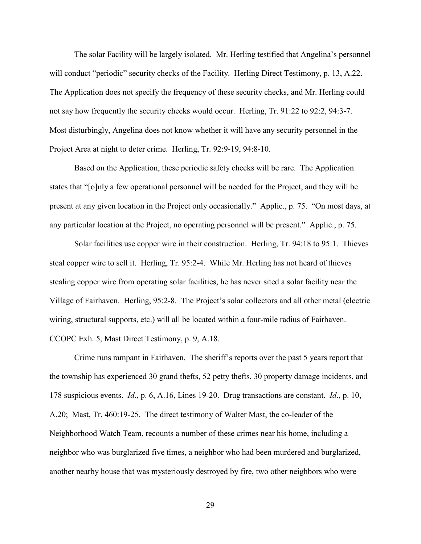The solar Facility will be largely isolated. Mr. Herling testified that Angelina's personnel will conduct "periodic" security checks of the Facility. Herling Direct Testimony, p. 13, A.22. The Application does not specify the frequency of these security checks, and Mr. Herling could not say how frequently the security checks would occur. Herling, Tr. 91:22 to 92:2, 94:3-7. Most disturbingly, Angelina does not know whether it will have any security personnel in the Project Area at night to deter crime. Herling, Tr. 92:9-19, 94:8-10.

Based on the Application, these periodic safety checks will be rare. The Application states that "[o]nly a few operational personnel will be needed for the Project, and they will be present at any given location in the Project only occasionally." Applic., p. 75. "On most days, at any particular location at the Project, no operating personnel will be present." Applic., p. 75.

Solar facilities use copper wire in their construction. Herling, Tr. 94:18 to 95:1. Thieves steal copper wire to sell it. Herling, Tr. 95:2-4. While Mr. Herling has not heard of thieves stealing copper wire from operating solar facilities, he has never sited a solar facility near the Village of Fairhaven. Herling, 95:2-8. The Project's solar collectors and all other metal (electric wiring, structural supports, etc.) will all be located within a four-mile radius of Fairhaven. CCOPC Exh. 5, Mast Direct Testimony, p. 9, A.18.

Crime runs rampant in Fairhaven. The sheriff's reports over the past 5 years report that the township has experienced 30 grand thefts, 52 petty thefts, 30 property damage incidents, and 178 suspicious events. *Id*., p. 6, A.16, Lines 19-20. Drug transactions are constant. *Id*., p. 10, A.20; Mast, Tr. 460:19-25. The direct testimony of Walter Mast, the co-leader of the Neighborhood Watch Team, recounts a number of these crimes near his home, including a neighbor who was burglarized five times, a neighbor who had been murdered and burglarized, another nearby house that was mysteriously destroyed by fire, two other neighbors who were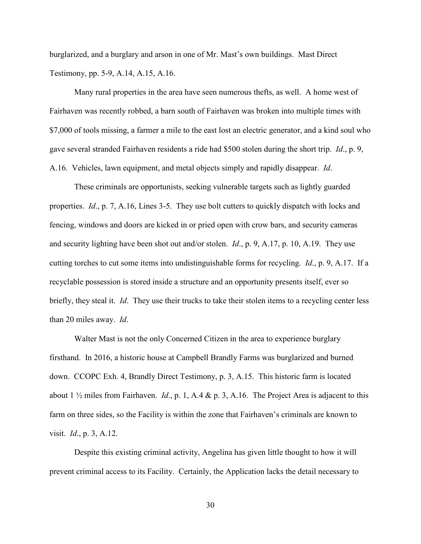burglarized, and a burglary and arson in one of Mr. Mast's own buildings. Mast Direct Testimony, pp. 5-9, A.14, A.15, A.16.

Many rural properties in the area have seen numerous thefts, as well. A home west of Fairhaven was recently robbed, a barn south of Fairhaven was broken into multiple times with \$7,000 of tools missing, a farmer a mile to the east lost an electric generator, and a kind soul who gave several stranded Fairhaven residents a ride had \$500 stolen during the short trip. *Id*., p. 9, A.16. Vehicles, lawn equipment, and metal objects simply and rapidly disappear. *Id*.

These criminals are opportunists, seeking vulnerable targets such as lightly guarded properties. *Id*., p. 7, A.16, Lines 3-5. They use bolt cutters to quickly dispatch with locks and fencing, windows and doors are kicked in or pried open with crow bars, and security cameras and security lighting have been shot out and/or stolen. *Id*., p. 9, A.17, p. 10, A.19. They use cutting torches to cut some items into undistinguishable forms for recycling. *Id*., p. 9, A.17. If a recyclable possession is stored inside a structure and an opportunity presents itself, ever so briefly, they steal it. *Id*. They use their trucks to take their stolen items to a recycling center less than 20 miles away. *Id*.

Walter Mast is not the only Concerned Citizen in the area to experience burglary firsthand. In 2016, a historic house at Campbell Brandly Farms was burglarized and burned down. CCOPC Exh. 4, Brandly Direct Testimony, p. 3, A.15. This historic farm is located about 1 ½ miles from Fairhaven. *Id*., p. 1, A.4 & p. 3, A.16. The Project Area is adjacent to this farm on three sides, so the Facility is within the zone that Fairhaven's criminals are known to visit. *Id*., p. 3, A.12.

Despite this existing criminal activity, Angelina has given little thought to how it will prevent criminal access to its Facility. Certainly, the Application lacks the detail necessary to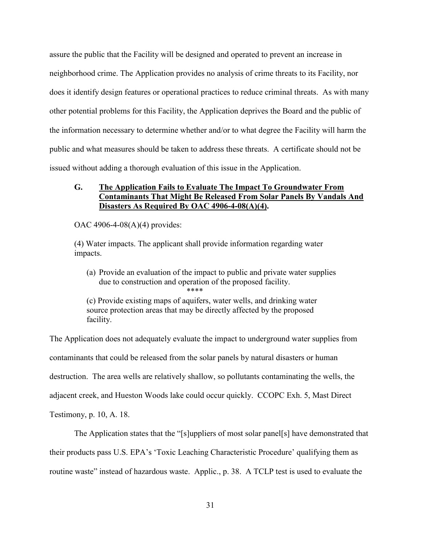assure the public that the Facility will be designed and operated to prevent an increase in neighborhood crime. The Application provides no analysis of crime threats to its Facility, nor does it identify design features or operational practices to reduce criminal threats. As with many other potential problems for this Facility, the Application deprives the Board and the public of the information necessary to determine whether and/or to what degree the Facility will harm the public and what measures should be taken to address these threats. A certificate should not be issued without adding a thorough evaluation of this issue in the Application.

# **G. The Application Fails to Evaluate The Impact To Groundwater From Contaminants That Might Be Released From Solar Panels By Vandals And Disasters As Required By OAC 4906-4-08(A)(4).**

OAC 4906-4-08(A)(4) provides:

(4) Water impacts. The applicant shall provide information regarding water impacts.

(a) Provide an evaluation of the impact to public and private water supplies due to construction and operation of the proposed facility. \*\*\*\*

(c) Provide existing maps of aquifers, water wells, and drinking water source protection areas that may be directly affected by the proposed facility.

The Application does not adequately evaluate the impact to underground water supplies from contaminants that could be released from the solar panels by natural disasters or human destruction. The area wells are relatively shallow, so pollutants contaminating the wells, the adjacent creek, and Hueston Woods lake could occur quickly. CCOPC Exh. 5, Mast Direct Testimony, p. 10, A. 18.

The Application states that the "[s]uppliers of most solar panel[s] have demonstrated that their products pass U.S. EPA's 'Toxic Leaching Characteristic Procedure' qualifying them as routine waste" instead of hazardous waste. Applic., p. 38. A TCLP test is used to evaluate the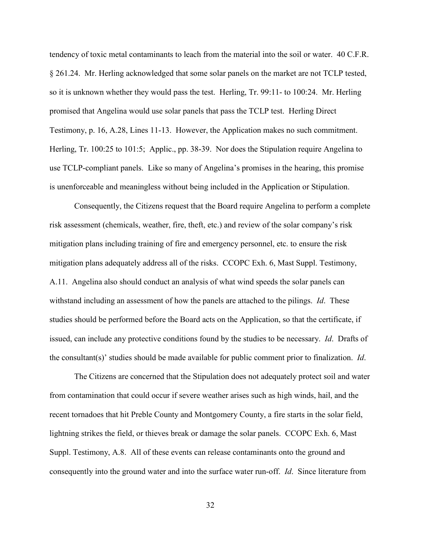tendency of toxic metal contaminants to leach from the material into the soil or water. 40 C.F.R. § 261.24. Mr. Herling acknowledged that some solar panels on the market are not TCLP tested, so it is unknown whether they would pass the test. Herling, Tr. 99:11- to 100:24. Mr. Herling promised that Angelina would use solar panels that pass the TCLP test. Herling Direct Testimony, p. 16, A.28, Lines 11-13. However, the Application makes no such commitment. Herling, Tr. 100:25 to 101:5; Applic., pp. 38-39. Nor does the Stipulation require Angelina to use TCLP-compliant panels. Like so many of Angelina's promises in the hearing, this promise is unenforceable and meaningless without being included in the Application or Stipulation.

Consequently, the Citizens request that the Board require Angelina to perform a complete risk assessment (chemicals, weather, fire, theft, etc.) and review of the solar company's risk mitigation plans including training of fire and emergency personnel, etc. to ensure the risk mitigation plans adequately address all of the risks. CCOPC Exh. 6, Mast Suppl. Testimony, A.11. Angelina also should conduct an analysis of what wind speeds the solar panels can withstand including an assessment of how the panels are attached to the pilings. *Id*. These studies should be performed before the Board acts on the Application, so that the certificate, if issued, can include any protective conditions found by the studies to be necessary. *Id*. Drafts of the consultant(s)' studies should be made available for public comment prior to finalization. *Id*.

The Citizens are concerned that the Stipulation does not adequately protect soil and water from contamination that could occur if severe weather arises such as high winds, hail, and the recent tornadoes that hit Preble County and Montgomery County, a fire starts in the solar field, lightning strikes the field, or thieves break or damage the solar panels. CCOPC Exh. 6, Mast Suppl. Testimony, A.8. All of these events can release contaminants onto the ground and consequently into the ground water and into the surface water run-off. *Id*. Since literature from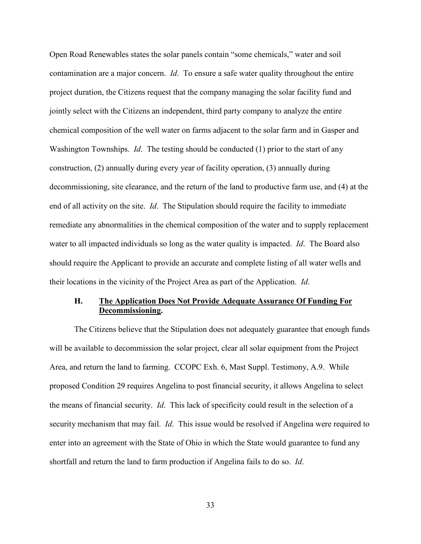Open Road Renewables states the solar panels contain "some chemicals," water and soil contamination are a major concern. *Id*. To ensure a safe water quality throughout the entire project duration, the Citizens request that the company managing the solar facility fund and jointly select with the Citizens an independent, third party company to analyze the entire chemical composition of the well water on farms adjacent to the solar farm and in Gasper and Washington Townships. *Id*. The testing should be conducted (1) prior to the start of any construction, (2) annually during every year of facility operation, (3) annually during decommissioning, site clearance, and the return of the land to productive farm use, and (4) at the end of all activity on the site. *Id*. The Stipulation should require the facility to immediate remediate any abnormalities in the chemical composition of the water and to supply replacement water to all impacted individuals so long as the water quality is impacted. *Id*. The Board also should require the Applicant to provide an accurate and complete listing of all water wells and their locations in the vicinity of the Project Area as part of the Application. *Id*.

## **H. The Application Does Not Provide Adequate Assurance Of Funding For Decommissioning.**

The Citizens believe that the Stipulation does not adequately guarantee that enough funds will be available to decommission the solar project, clear all solar equipment from the Project Area, and return the land to farming. CCOPC Exh. 6, Mast Suppl. Testimony, A.9. While proposed Condition 29 requires Angelina to post financial security, it allows Angelina to select the means of financial security. *Id*. This lack of specificity could result in the selection of a security mechanism that may fail. *Id*. This issue would be resolved if Angelina were required to enter into an agreement with the State of Ohio in which the State would guarantee to fund any shortfall and return the land to farm production if Angelina fails to do so. *Id*.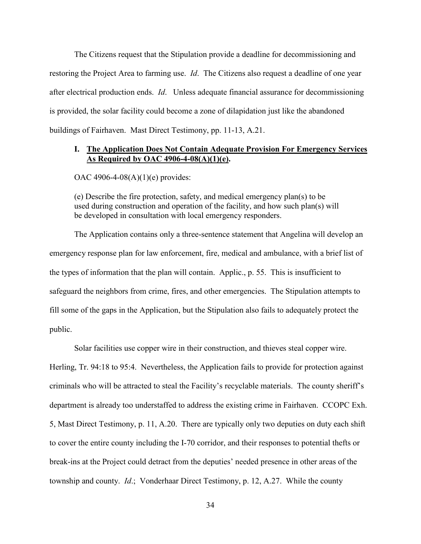The Citizens request that the Stipulation provide a deadline for decommissioning and restoring the Project Area to farming use. *Id*. The Citizens also request a deadline of one year after electrical production ends. *Id*. Unless adequate financial assurance for decommissioning is provided, the solar facility could become a zone of dilapidation just like the abandoned buildings of Fairhaven. Mast Direct Testimony, pp. 11-13, A.21.

### **I. The Application Does Not Contain Adequate Provision For Emergency Services As Required by OAC 4906-4-08(A)(1)(e).**

OAC 4906-4-08(A)(1)(e) provides:

(e) Describe the fire protection, safety, and medical emergency plan(s) to be used during construction and operation of the facility, and how such plan(s) will be developed in consultation with local emergency responders.

The Application contains only a three-sentence statement that Angelina will develop an emergency response plan for law enforcement, fire, medical and ambulance, with a brief list of the types of information that the plan will contain. Applic., p. 55. This is insufficient to safeguard the neighbors from crime, fires, and other emergencies. The Stipulation attempts to fill some of the gaps in the Application, but the Stipulation also fails to adequately protect the public.

Solar facilities use copper wire in their construction, and thieves steal copper wire. Herling, Tr. 94:18 to 95:4. Nevertheless, the Application fails to provide for protection against criminals who will be attracted to steal the Facility's recyclable materials. The county sheriff's department is already too understaffed to address the existing crime in Fairhaven. CCOPC Exh. 5, Mast Direct Testimony, p. 11, A.20. There are typically only two deputies on duty each shift to cover the entire county including the I-70 corridor, and their responses to potential thefts or break-ins at the Project could detract from the deputies' needed presence in other areas of the township and county. *Id*.; Vonderhaar Direct Testimony, p. 12, A.27. While the county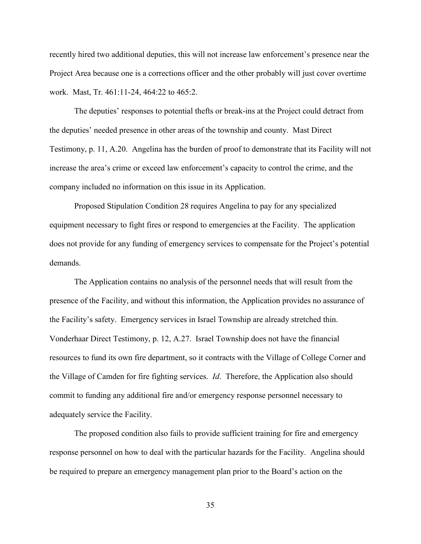recently hired two additional deputies, this will not increase law enforcement's presence near the Project Area because one is a corrections officer and the other probably will just cover overtime work. Mast, Tr. 461:11-24, 464:22 to 465:2.

The deputies' responses to potential thefts or break-ins at the Project could detract from the deputies' needed presence in other areas of the township and county. Mast Direct Testimony, p. 11, A.20. Angelina has the burden of proof to demonstrate that its Facility will not increase the area's crime or exceed law enforcement's capacity to control the crime, and the company included no information on this issue in its Application.

Proposed Stipulation Condition 28 requires Angelina to pay for any specialized equipment necessary to fight fires or respond to emergencies at the Facility. The application does not provide for any funding of emergency services to compensate for the Project's potential demands.

The Application contains no analysis of the personnel needs that will result from the presence of the Facility, and without this information, the Application provides no assurance of the Facility's safety. Emergency services in Israel Township are already stretched thin. Vonderhaar Direct Testimony, p. 12, A.27. Israel Township does not have the financial resources to fund its own fire department, so it contracts with the Village of College Corner and the Village of Camden for fire fighting services. *Id*. Therefore, the Application also should commit to funding any additional fire and/or emergency response personnel necessary to adequately service the Facility.

The proposed condition also fails to provide sufficient training for fire and emergency response personnel on how to deal with the particular hazards for the Facility. Angelina should be required to prepare an emergency management plan prior to the Board's action on the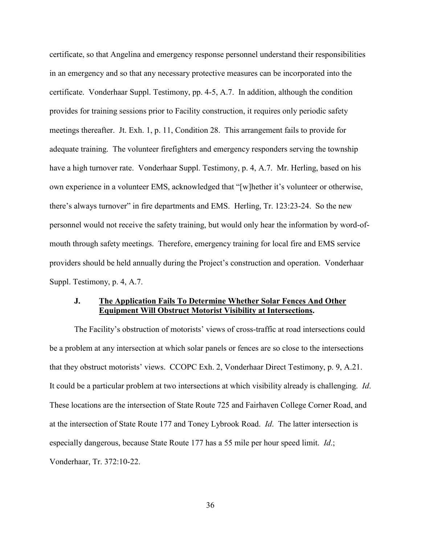certificate, so that Angelina and emergency response personnel understand their responsibilities in an emergency and so that any necessary protective measures can be incorporated into the certificate. Vonderhaar Suppl. Testimony, pp. 4-5, A.7. In addition, although the condition provides for training sessions prior to Facility construction, it requires only periodic safety meetings thereafter. Jt. Exh. 1, p. 11, Condition 28. This arrangement fails to provide for adequate training. The volunteer firefighters and emergency responders serving the township have a high turnover rate. Vonderhaar Suppl. Testimony, p. 4, A.7. Mr. Herling, based on his own experience in a volunteer EMS, acknowledged that "[w]hether it's volunteer or otherwise, there's always turnover" in fire departments and EMS. Herling, Tr. 123:23-24. So the new personnel would not receive the safety training, but would only hear the information by word-ofmouth through safety meetings. Therefore, emergency training for local fire and EMS service providers should be held annually during the Project's construction and operation. Vonderhaar Suppl. Testimony, p. 4, A.7.

### **J. The Application Fails To Determine Whether Solar Fences And Other Equipment Will Obstruct Motorist Visibility at Intersections.**

The Facility's obstruction of motorists' views of cross-traffic at road intersections could be a problem at any intersection at which solar panels or fences are so close to the intersections that they obstruct motorists' views. CCOPC Exh. 2, Vonderhaar Direct Testimony, p. 9, A.21. It could be a particular problem at two intersections at which visibility already is challenging. *Id*. These locations are the intersection of State Route 725 and Fairhaven College Corner Road, and at the intersection of State Route 177 and Toney Lybrook Road. *Id*. The latter intersection is especially dangerous, because State Route 177 has a 55 mile per hour speed limit. *Id*.; Vonderhaar, Tr. 372:10-22.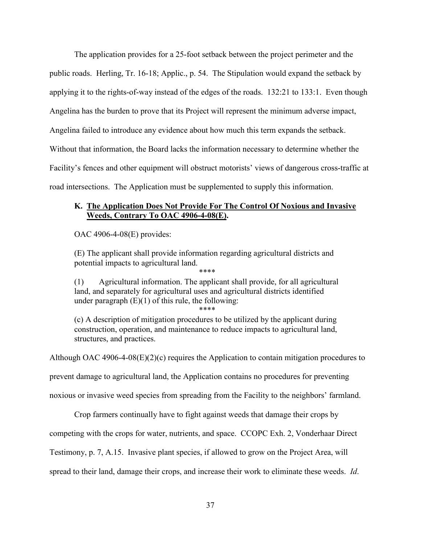The application provides for a 25-foot setback between the project perimeter and the public roads. Herling, Tr. 16-18; Applic., p. 54. The Stipulation would expand the setback by applying it to the rights-of-way instead of the edges of the roads. 132:21 to 133:1. Even though Angelina has the burden to prove that its Project will represent the minimum adverse impact, Angelina failed to introduce any evidence about how much this term expands the setback. Without that information, the Board lacks the information necessary to determine whether the Facility's fences and other equipment will obstruct motorists' views of dangerous cross-traffic at road intersections. The Application must be supplemented to supply this information.

# **K. The Application Does Not Provide For The Control Of Noxious and Invasive Weeds, Contrary To OAC 4906-4-08(E).**

OAC 4906-4-08(E) provides:

(E) The applicant shall provide information regarding agricultural districts and potential impacts to agricultural land.

\*\*\*\*

(1) Agricultural information. The applicant shall provide, for all agricultural land, and separately for agricultural uses and agricultural districts identified under paragraph (E)(1) of this rule, the following:

\*\*\*\*

(c) A description of mitigation procedures to be utilized by the applicant during construction, operation, and maintenance to reduce impacts to agricultural land, structures, and practices.

Although OAC 4906-4-08(E)(2)(c) requires the Application to contain mitigation procedures to

prevent damage to agricultural land, the Application contains no procedures for preventing

noxious or invasive weed species from spreading from the Facility to the neighbors' farmland.

Crop farmers continually have to fight against weeds that damage their crops by

competing with the crops for water, nutrients, and space. CCOPC Exh. 2, Vonderhaar Direct

Testimony, p. 7, A.15. Invasive plant species, if allowed to grow on the Project Area, will

spread to their land, damage their crops, and increase their work to eliminate these weeds. *Id*.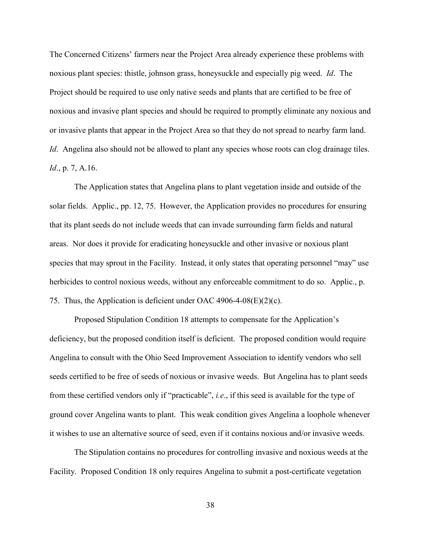The Concerned Citizens' farmers near the Project Area already experience these problems with noxious plant species: thistle, johnson grass, honeysuckle and especially pig weed. *Id*. The Project should be required to use only native seeds and plants that are certified to be free of noxious and invasive plant species and should be required to promptly eliminate any noxious and or invasive plants that appear in the Project Area so that they do not spread to nearby farm land. *Id*. Angelina also should not be allowed to plant any species whose roots can clog drainage tiles. *Id*., p. 7, A.16.

The Application states that Angelina plans to plant vegetation inside and outside of the solar fields. Applic., pp. 12, 75. However, the Application provides no procedures for ensuring that its plant seeds do not include weeds that can invade surrounding farm fields and natural areas. Nor does it provide for eradicating honeysuckle and other invasive or noxious plant species that may sprout in the Facility. Instead, it only states that operating personnel "may" use herbicides to control noxious weeds, without any enforceable commitment to do so. Applic., p. 75. Thus, the Application is deficient under OAC 4906-4-08(E)(2)(c).

Proposed Stipulation Condition 18 attempts to compensate for the Application's deficiency, but the proposed condition itself is deficient. The proposed condition would require Angelina to consult with the Ohio Seed Improvement Association to identify vendors who sell seeds certified to be free of seeds of noxious or invasive weeds. But Angelina has to plant seeds from these certified vendors only if "practicable", *i.e*., if this seed is available for the type of ground cover Angelina wants to plant. This weak condition gives Angelina a loophole whenever it wishes to use an alternative source of seed, even if it contains noxious and/or invasive weeds.

The Stipulation contains no procedures for controlling invasive and noxious weeds at the Facility. Proposed Condition 18 only requires Angelina to submit a post-certificate vegetation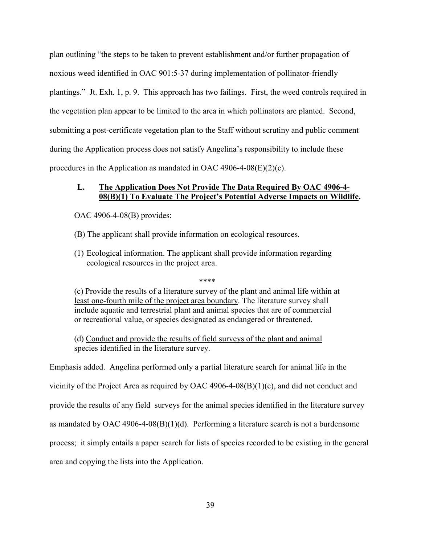plan outlining "the steps to be taken to prevent establishment and/or further propagation of noxious weed identified in OAC 901:5-37 during implementation of pollinator-friendly plantings." Jt. Exh. 1, p. 9. This approach has two failings. First, the weed controls required in the vegetation plan appear to be limited to the area in which pollinators are planted. Second, submitting a post-certificate vegetation plan to the Staff without scrutiny and public comment during the Application process does not satisfy Angelina's responsibility to include these procedures in the Application as mandated in OAC 4906-4-08(E)(2)(c).

## **L. The Application Does Not Provide The Data Required By OAC 4906-4- 08(B)(1) To Evaluate The Project's Potential Adverse Impacts on Wildlife.**

OAC 4906-4-08(B) provides:

- (B) The applicant shall provide information on ecological resources.
- (1) Ecological information. The applicant shall provide information regarding ecological resources in the project area.

\*\*\*\*

(c) Provide the results of a literature survey of the plant and animal life within at least one-fourth mile of the project area boundary. The literature survey shall include aquatic and terrestrial plant and animal species that are of commercial or recreational value, or species designated as endangered or threatened.

(d) Conduct and provide the results of field surveys of the plant and animal species identified in the literature survey.

Emphasis added. Angelina performed only a partial literature search for animal life in the

vicinity of the Project Area as required by OAC 4906-4-08(B)(1)(c), and did not conduct and

provide the results of any field surveys for the animal species identified in the literature survey

as mandated by OAC 4906-4-08(B)(1)(d). Performing a literature search is not a burdensome

process; it simply entails a paper search for lists of species recorded to be existing in the general

area and copying the lists into the Application.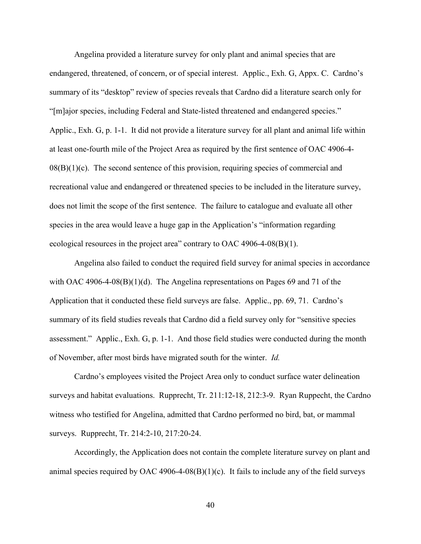Angelina provided a literature survey for only plant and animal species that are endangered, threatened, of concern, or of special interest. Applic., Exh. G, Appx. C. Cardno's summary of its "desktop" review of species reveals that Cardno did a literature search only for "[m]ajor species, including Federal and State-listed threatened and endangered species." Applic., Exh. G, p. 1-1. It did not provide a literature survey for all plant and animal life within at least one-fourth mile of the Project Area as required by the first sentence of OAC 4906-4-  $08(B)(1)(c)$ . The second sentence of this provision, requiring species of commercial and recreational value and endangered or threatened species to be included in the literature survey, does not limit the scope of the first sentence. The failure to catalogue and evaluate all other species in the area would leave a huge gap in the Application's "information regarding ecological resources in the project area" contrary to OAC 4906-4-08(B)(1).

Angelina also failed to conduct the required field survey for animal species in accordance with OAC 4906-4-08(B)(1)(d). The Angelina representations on Pages 69 and 71 of the Application that it conducted these field surveys are false. Applic., pp. 69, 71. Cardno's summary of its field studies reveals that Cardno did a field survey only for "sensitive species assessment." Applic., Exh. G, p. 1-1. And those field studies were conducted during the month of November, after most birds have migrated south for the winter. *Id.*

Cardno's employees visited the Project Area only to conduct surface water delineation surveys and habitat evaluations. Rupprecht, Tr. 211:12-18, 212:3-9. Ryan Ruppecht, the Cardno witness who testified for Angelina, admitted that Cardno performed no bird, bat, or mammal surveys. Rupprecht, Tr. 214:2-10, 217:20-24.

Accordingly, the Application does not contain the complete literature survey on plant and animal species required by OAC 4906-4-08 $(B)(1)(c)$ . It fails to include any of the field surveys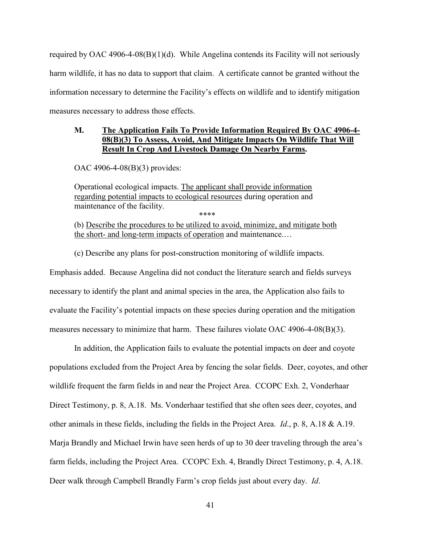required by OAC 4906-4-08(B)(1)(d). While Angelina contends its Facility will not seriously harm wildlife, it has no data to support that claim. A certificate cannot be granted without the information necessary to determine the Facility's effects on wildlife and to identify mitigation measures necessary to address those effects.

## **M. The Application Fails To Provide Information Required By OAC 4906-4- 08(B)(3) To Assess, Avoid, And Mitigate Impacts On Wildlife That Will Result In Crop And Livestock Damage On Nearby Farms.**

OAC 4906-4-08(B)(3) provides:

Operational ecological impacts. The applicant shall provide information regarding potential impacts to ecological resources during operation and maintenance of the facility. \*\*\*\*

(b) Describe the procedures to be utilized to avoid, minimize, and mitigate both the short- and long-term impacts of operation and maintenance.…

(c) Describe any plans for post-construction monitoring of wildlife impacts.

Emphasis added. Because Angelina did not conduct the literature search and fields surveys necessary to identify the plant and animal species in the area, the Application also fails to evaluate the Facility's potential impacts on these species during operation and the mitigation measures necessary to minimize that harm. These failures violate OAC 4906-4-08(B)(3).

In addition, the Application fails to evaluate the potential impacts on deer and coyote populations excluded from the Project Area by fencing the solar fields. Deer, coyotes, and other wildlife frequent the farm fields in and near the Project Area. CCOPC Exh. 2, Vonderhaar Direct Testimony, p. 8, A.18. Ms. Vonderhaar testified that she often sees deer, coyotes, and other animals in these fields, including the fields in the Project Area. *Id*., p. 8, A.18 & A.19. Marja Brandly and Michael Irwin have seen herds of up to 30 deer traveling through the area's farm fields, including the Project Area. CCOPC Exh. 4, Brandly Direct Testimony, p. 4, A.18. Deer walk through Campbell Brandly Farm's crop fields just about every day. *Id*.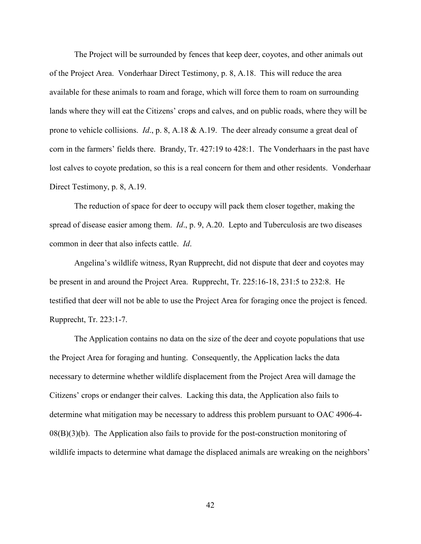The Project will be surrounded by fences that keep deer, coyotes, and other animals out of the Project Area. Vonderhaar Direct Testimony, p. 8, A.18. This will reduce the area available for these animals to roam and forage, which will force them to roam on surrounding lands where they will eat the Citizens' crops and calves, and on public roads, where they will be prone to vehicle collisions. *Id*., p. 8, A.18 & A.19. The deer already consume a great deal of corn in the farmers' fields there. Brandy, Tr. 427:19 to 428:1. The Vonderhaars in the past have lost calves to coyote predation, so this is a real concern for them and other residents. Vonderhaar Direct Testimony, p. 8, A.19.

The reduction of space for deer to occupy will pack them closer together, making the spread of disease easier among them. *Id*., p. 9, A.20. Lepto and Tuberculosis are two diseases common in deer that also infects cattle. *Id*.

Angelina's wildlife witness, Ryan Rupprecht, did not dispute that deer and coyotes may be present in and around the Project Area. Rupprecht, Tr. 225:16-18, 231:5 to 232:8.He testified that deer will not be able to use the Project Area for foraging once the project is fenced. Rupprecht, Tr. 223:1-7.

The Application contains no data on the size of the deer and coyote populations that use the Project Area for foraging and hunting. Consequently, the Application lacks the data necessary to determine whether wildlife displacement from the Project Area will damage the Citizens' crops or endanger their calves. Lacking this data, the Application also fails to determine what mitigation may be necessary to address this problem pursuant to OAC 4906-4-  $08(B)(3)(b)$ . The Application also fails to provide for the post-construction monitoring of wildlife impacts to determine what damage the displaced animals are wreaking on the neighbors'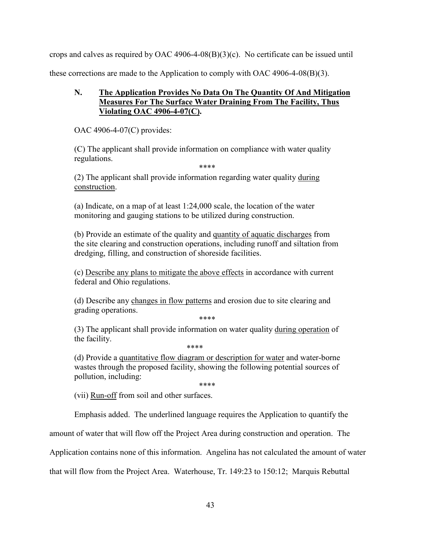crops and calves as required by OAC 4906-4-08 $(B)(3)(c)$ . No certificate can be issued until these corrections are made to the Application to comply with OAC 4906-4-08(B)(3).

# **N. The Application Provides No Data On The Quantity Of And Mitigation Measures For The Surface Water Draining From The Facility, Thus Violating OAC 4906-4-07(C).**

OAC 4906-4-07(C) provides:

(C) The applicant shall provide information on compliance with water quality regulations.

\*\*\*\*

(2) The applicant shall provide information regarding water quality during construction.

(a) Indicate, on a map of at least 1:24,000 scale, the location of the water monitoring and gauging stations to be utilized during construction.

(b) Provide an estimate of the quality and quantity of aquatic discharges from the site clearing and construction operations, including runoff and siltation from dredging, filling, and construction of shoreside facilities.

(c) Describe any plans to mitigate the above effects in accordance with current federal and Ohio regulations.

(d) Describe any changes in flow patterns and erosion due to site clearing and grading operations.

\*\*\*\*

(3) The applicant shall provide information on water quality during operation of the facility.

\*\*\*\*

(d) Provide a quantitative flow diagram or description for water and water-borne wastes through the proposed facility, showing the following potential sources of pollution, including:

\*\*\*\*

(vii) Run-off from soil and other surfaces.

Emphasis added. The underlined language requires the Application to quantify the

amount of water that will flow off the Project Area during construction and operation. The

Application contains none of this information. Angelina has not calculated the amount of water

that will flow from the Project Area. Waterhouse, Tr. 149:23 to 150:12; Marquis Rebuttal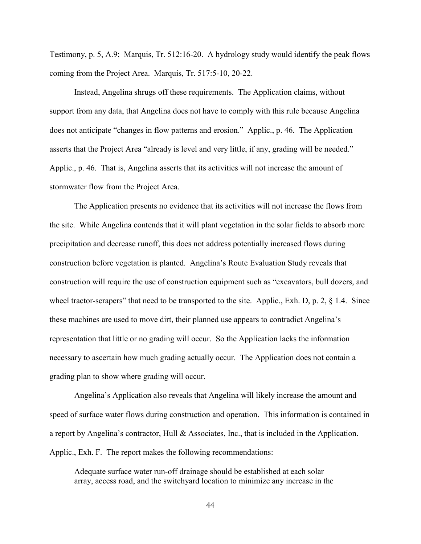Testimony, p. 5, A.9; Marquis, Tr. 512:16-20. A hydrology study would identify the peak flows coming from the Project Area. Marquis, Tr. 517:5-10, 20-22.

Instead, Angelina shrugs off these requirements. The Application claims, without support from any data, that Angelina does not have to comply with this rule because Angelina does not anticipate "changes in flow patterns and erosion." Applic., p. 46. The Application asserts that the Project Area "already is level and very little, if any, grading will be needed." Applic., p. 46. That is, Angelina asserts that its activities will not increase the amount of stormwater flow from the Project Area.

The Application presents no evidence that its activities will not increase the flows from the site. While Angelina contends that it will plant vegetation in the solar fields to absorb more precipitation and decrease runoff, this does not address potentially increased flows during construction before vegetation is planted. Angelina's Route Evaluation Study reveals that construction will require the use of construction equipment such as "excavators, bull dozers, and wheel tractor-scrapers" that need to be transported to the site. Applic., Exh. D, p. 2, § 1.4. Since these machines are used to move dirt, their planned use appears to contradict Angelina's representation that little or no grading will occur. So the Application lacks the information necessary to ascertain how much grading actually occur. The Application does not contain a grading plan to show where grading will occur.

Angelina's Application also reveals that Angelina will likely increase the amount and speed of surface water flows during construction and operation. This information is contained in a report by Angelina's contractor, Hull & Associates, Inc., that is included in the Application. Applic., Exh. F. The report makes the following recommendations:

Adequate surface water run-off drainage should be established at each solar array, access road, and the switchyard location to minimize any increase in the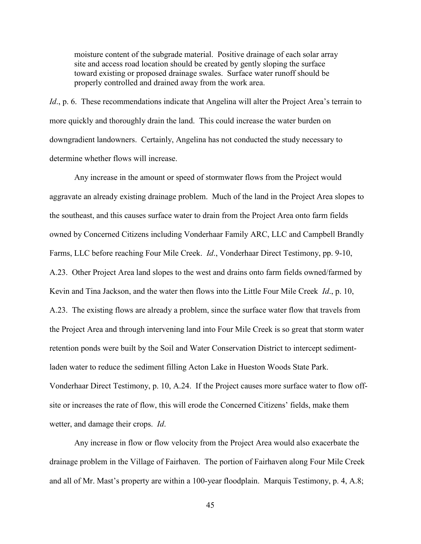moisture content of the subgrade material. Positive drainage of each solar array site and access road location should be created by gently sloping the surface toward existing or proposed drainage swales. Surface water runoff should be properly controlled and drained away from the work area.

*Id.*, p. 6. These recommendations indicate that Angelina will alter the Project Area's terrain to more quickly and thoroughly drain the land. This could increase the water burden on downgradient landowners. Certainly, Angelina has not conducted the study necessary to determine whether flows will increase.

Any increase in the amount or speed of stormwater flows from the Project would aggravate an already existing drainage problem. Much of the land in the Project Area slopes to the southeast, and this causes surface water to drain from the Project Area onto farm fields owned by Concerned Citizens including Vonderhaar Family ARC, LLC and Campbell Brandly Farms, LLC before reaching Four Mile Creek. *Id*., Vonderhaar Direct Testimony, pp. 9-10, A.23. Other Project Area land slopes to the west and drains onto farm fields owned/farmed by Kevin and Tina Jackson, and the water then flows into the Little Four Mile Creek *Id*., p. 10, A.23. The existing flows are already a problem, since the surface water flow that travels from the Project Area and through intervening land into Four Mile Creek is so great that storm water retention ponds were built by the Soil and Water Conservation District to intercept sedimentladen water to reduce the sediment filling Acton Lake in Hueston Woods State Park. Vonderhaar Direct Testimony, p. 10, A.24. If the Project causes more surface water to flow offsite or increases the rate of flow, this will erode the Concerned Citizens' fields, make them wetter, and damage their crops. *Id*.

Any increase in flow or flow velocity from the Project Area would also exacerbate the drainage problem in the Village of Fairhaven. The portion of Fairhaven along Four Mile Creek and all of Mr. Mast's property are within a 100-year floodplain. Marquis Testimony, p. 4, A.8;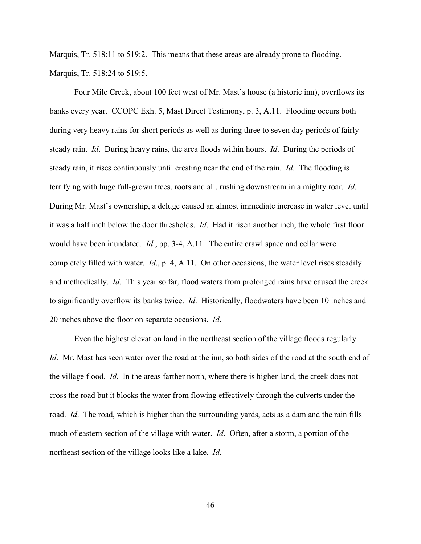Marquis, Tr. 518:11 to 519:2. This means that these areas are already prone to flooding. Marquis, Tr. 518:24 to 519:5.

Four Mile Creek, about 100 feet west of Mr. Mast's house (a historic inn), overflows its banks every year. CCOPC Exh. 5, Mast Direct Testimony, p. 3, A.11. Flooding occurs both during very heavy rains for short periods as well as during three to seven day periods of fairly steady rain. *Id*. During heavy rains, the area floods within hours. *Id*. During the periods of steady rain, it rises continuously until cresting near the end of the rain. *Id*. The flooding is terrifying with huge full-grown trees, roots and all, rushing downstream in a mighty roar. *Id*. During Mr. Mast's ownership, a deluge caused an almost immediate increase in water level until it was a half inch below the door thresholds. *Id*. Had it risen another inch, the whole first floor would have been inundated. *Id*., pp. 3-4, A.11. The entire crawl space and cellar were completely filled with water. *Id*., p. 4, A.11. On other occasions, the water level rises steadily and methodically. *Id*. This year so far, flood waters from prolonged rains have caused the creek to significantly overflow its banks twice. *Id*. Historically, floodwaters have been 10 inches and 20 inches above the floor on separate occasions. *Id*.

Even the highest elevation land in the northeast section of the village floods regularly. *Id*. Mr. Mast has seen water over the road at the inn, so both sides of the road at the south end of the village flood. *Id*. In the areas farther north, where there is higher land, the creek does not cross the road but it blocks the water from flowing effectively through the culverts under the road. *Id*. The road, which is higher than the surrounding yards, acts as a dam and the rain fills much of eastern section of the village with water. *Id*. Often, after a storm, a portion of the northeast section of the village looks like a lake. *Id*.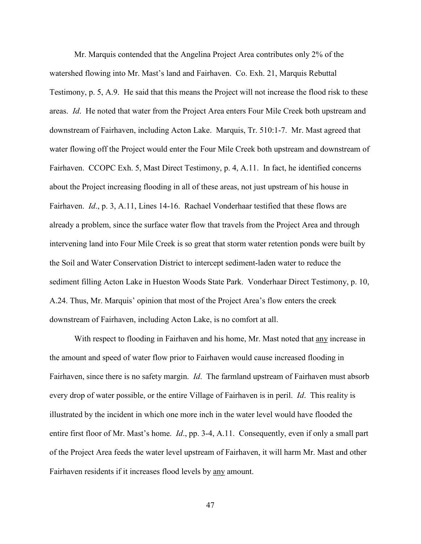Mr. Marquis contended that the Angelina Project Area contributes only 2% of the watershed flowing into Mr. Mast's land and Fairhaven. Co. Exh. 21, Marquis Rebuttal Testimony, p. 5, A.9. He said that this means the Project will not increase the flood risk to these areas. *Id*. He noted that water from the Project Area enters Four Mile Creek both upstream and downstream of Fairhaven, including Acton Lake. Marquis, Tr. 510:1-7. Mr. Mast agreed that water flowing off the Project would enter the Four Mile Creek both upstream and downstream of Fairhaven. CCOPC Exh. 5, Mast Direct Testimony, p. 4, A.11. In fact, he identified concerns about the Project increasing flooding in all of these areas, not just upstream of his house in Fairhaven. *Id*., p. 3, A.11, Lines 14-16. Rachael Vonderhaar testified that these flows are already a problem, since the surface water flow that travels from the Project Area and through intervening land into Four Mile Creek is so great that storm water retention ponds were built by the Soil and Water Conservation District to intercept sediment-laden water to reduce the sediment filling Acton Lake in Hueston Woods State Park. Vonderhaar Direct Testimony, p. 10, A.24. Thus, Mr. Marquis' opinion that most of the Project Area's flow enters the creek downstream of Fairhaven, including Acton Lake, is no comfort at all.

With respect to flooding in Fairhaven and his home, Mr. Mast noted that any increase in the amount and speed of water flow prior to Fairhaven would cause increased flooding in Fairhaven, since there is no safety margin. *Id*. The farmland upstream of Fairhaven must absorb every drop of water possible, or the entire Village of Fairhaven is in peril. *Id*. This reality is illustrated by the incident in which one more inch in the water level would have flooded the entire first floor of Mr. Mast's home. *Id*., pp. 3-4, A.11. Consequently, even if only a small part of the Project Area feeds the water level upstream of Fairhaven, it will harm Mr. Mast and other Fairhaven residents if it increases flood levels by any amount.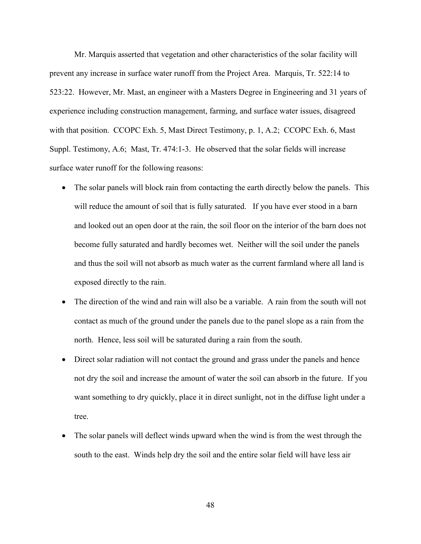Mr. Marquis asserted that vegetation and other characteristics of the solar facility will prevent any increase in surface water runoff from the Project Area. Marquis, Tr. 522:14 to 523:22. However, Mr. Mast, an engineer with a Masters Degree in Engineering and 31 years of experience including construction management, farming, and surface water issues, disagreed with that position. CCOPC Exh. 5, Mast Direct Testimony, p. 1, A.2; CCOPC Exh. 6, Mast Suppl. Testimony, A.6; Mast, Tr. 474:1-3. He observed that the solar fields will increase surface water runoff for the following reasons:

- The solar panels will block rain from contacting the earth directly below the panels. This will reduce the amount of soil that is fully saturated. If you have ever stood in a barn and looked out an open door at the rain, the soil floor on the interior of the barn does not become fully saturated and hardly becomes wet. Neither will the soil under the panels and thus the soil will not absorb as much water as the current farmland where all land is exposed directly to the rain.
- The direction of the wind and rain will also be a variable. A rain from the south will not contact as much of the ground under the panels due to the panel slope as a rain from the north. Hence, less soil will be saturated during a rain from the south.
- Direct solar radiation will not contact the ground and grass under the panels and hence not dry the soil and increase the amount of water the soil can absorb in the future. If you want something to dry quickly, place it in direct sunlight, not in the diffuse light under a tree.
- The solar panels will deflect winds upward when the wind is from the west through the south to the east. Winds help dry the soil and the entire solar field will have less air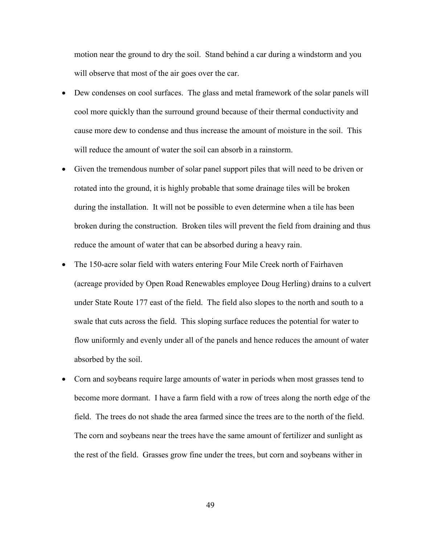motion near the ground to dry the soil. Stand behind a car during a windstorm and you will observe that most of the air goes over the car.

- Dew condenses on cool surfaces. The glass and metal framework of the solar panels will cool more quickly than the surround ground because of their thermal conductivity and cause more dew to condense and thus increase the amount of moisture in the soil. This will reduce the amount of water the soil can absorb in a rainstorm.
- Given the tremendous number of solar panel support piles that will need to be driven or rotated into the ground, it is highly probable that some drainage tiles will be broken during the installation. It will not be possible to even determine when a tile has been broken during the construction. Broken tiles will prevent the field from draining and thus reduce the amount of water that can be absorbed during a heavy rain.
- The 150-acre solar field with waters entering Four Mile Creek north of Fairhaven (acreage provided by Open Road Renewables employee Doug Herling) drains to a culvert under State Route 177 east of the field. The field also slopes to the north and south to a swale that cuts across the field. This sloping surface reduces the potential for water to flow uniformly and evenly under all of the panels and hence reduces the amount of water absorbed by the soil.
- Corn and soybeans require large amounts of water in periods when most grasses tend to become more dormant. I have a farm field with a row of trees along the north edge of the field. The trees do not shade the area farmed since the trees are to the north of the field. The corn and soybeans near the trees have the same amount of fertilizer and sunlight as the rest of the field. Grasses grow fine under the trees, but corn and soybeans wither in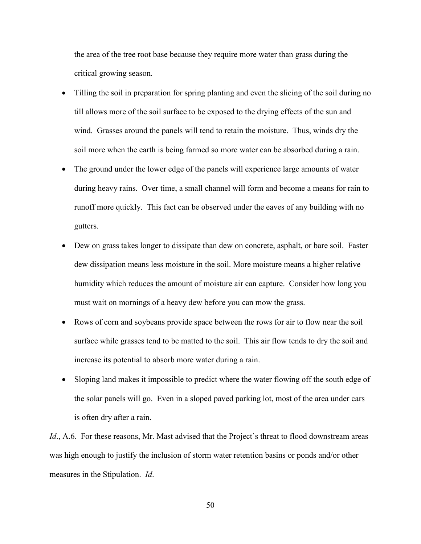the area of the tree root base because they require more water than grass during the critical growing season.

- Tilling the soil in preparation for spring planting and even the slicing of the soil during no till allows more of the soil surface to be exposed to the drying effects of the sun and wind. Grasses around the panels will tend to retain the moisture. Thus, winds dry the soil more when the earth is being farmed so more water can be absorbed during a rain.
- The ground under the lower edge of the panels will experience large amounts of water during heavy rains. Over time, a small channel will form and become a means for rain to runoff more quickly. This fact can be observed under the eaves of any building with no gutters.
- Dew on grass takes longer to dissipate than dew on concrete, asphalt, or bare soil. Faster dew dissipation means less moisture in the soil. More moisture means a higher relative humidity which reduces the amount of moisture air can capture. Consider how long you must wait on mornings of a heavy dew before you can mow the grass.
- Rows of corn and soybeans provide space between the rows for air to flow near the soil surface while grasses tend to be matted to the soil. This air flow tends to dry the soil and increase its potential to absorb more water during a rain.
- Sloping land makes it impossible to predict where the water flowing off the south edge of the solar panels will go. Even in a sloped paved parking lot, most of the area under cars is often dry after a rain.

*Id.*, A.6. For these reasons, Mr. Mast advised that the Project's threat to flood downstream areas was high enough to justify the inclusion of storm water retention basins or ponds and/or other measures in the Stipulation. *Id*.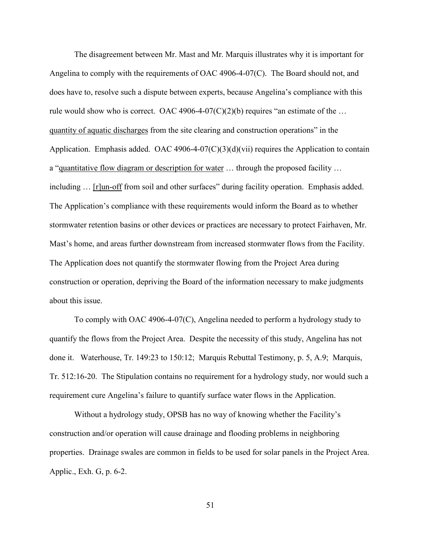The disagreement between Mr. Mast and Mr. Marquis illustrates why it is important for Angelina to comply with the requirements of OAC 4906-4-07(C). The Board should not, and does have to, resolve such a dispute between experts, because Angelina's compliance with this rule would show who is correct. OAC 4906-4-07(C)(2)(b) requires "an estimate of the ... quantity of aquatic discharges from the site clearing and construction operations" in the Application. Emphasis added. OAC 4906-4-07(C)(3)(d)(vii) requires the Application to contain a "quantitative flow diagram or description for water … through the proposed facility … including ... [r]un-off from soil and other surfaces" during facility operation. Emphasis added. The Application's compliance with these requirements would inform the Board as to whether stormwater retention basins or other devices or practices are necessary to protect Fairhaven, Mr. Mast's home, and areas further downstream from increased stormwater flows from the Facility. The Application does not quantify the stormwater flowing from the Project Area during construction or operation, depriving the Board of the information necessary to make judgments about this issue.

To comply with OAC 4906-4-07(C), Angelina needed to perform a hydrology study to quantify the flows from the Project Area. Despite the necessity of this study, Angelina has not done it. Waterhouse, Tr. 149:23 to 150:12; Marquis Rebuttal Testimony, p. 5, A.9; Marquis, Tr. 512:16-20. The Stipulation contains no requirement for a hydrology study, nor would such a requirement cure Angelina's failure to quantify surface water flows in the Application.

Without a hydrology study, OPSB has no way of knowing whether the Facility's construction and/or operation will cause drainage and flooding problems in neighboring properties. Drainage swales are common in fields to be used for solar panels in the Project Area. Applic., Exh. G, p. 6-2.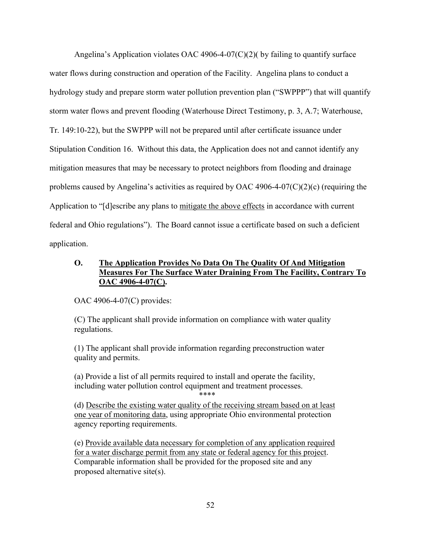Angelina's Application violates OAC 4906-4-07(C)(2)( by failing to quantify surface water flows during construction and operation of the Facility. Angelina plans to conduct a hydrology study and prepare storm water pollution prevention plan ("SWPPP") that will quantify storm water flows and prevent flooding (Waterhouse Direct Testimony, p. 3, A.7; Waterhouse, Tr. 149:10-22), but the SWPPP will not be prepared until after certificate issuance under Stipulation Condition 16. Without this data, the Application does not and cannot identify any mitigation measures that may be necessary to protect neighbors from flooding and drainage problems caused by Angelina's activities as required by OAC 4906-4-07( $C(2)(c)$ ) (requiring the Application to "[d]escribe any plans to mitigate the above effects in accordance with current federal and Ohio regulations"). The Board cannot issue a certificate based on such a deficient application.

## **O. The Application Provides No Data On The Quality Of And Mitigation Measures For The Surface Water Draining From The Facility, Contrary To OAC 4906-4-07(C).**

OAC 4906-4-07(C) provides:

(C) The applicant shall provide information on compliance with water quality regulations.

(1) The applicant shall provide information regarding preconstruction water quality and permits.

(a) Provide a list of all permits required to install and operate the facility, including water pollution control equipment and treatment processes.

\*\*\*\* (d) Describe the existing water quality of the receiving stream based on at least one year of monitoring data, using appropriate Ohio environmental protection agency reporting requirements.

(e) Provide available data necessary for completion of any application required for a water discharge permit from any state or federal agency for this project. Comparable information shall be provided for the proposed site and any proposed alternative site(s).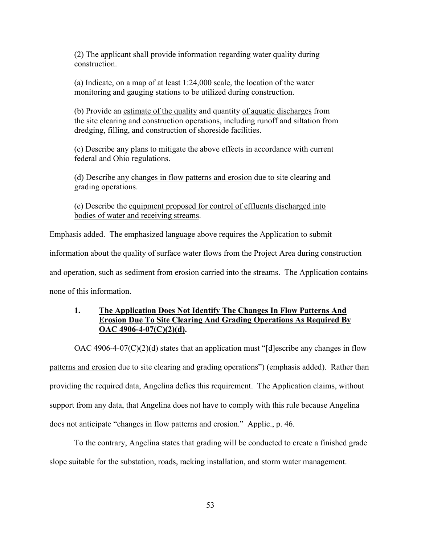(2) The applicant shall provide information regarding water quality during construction.

(a) Indicate, on a map of at least 1:24,000 scale, the location of the water monitoring and gauging stations to be utilized during construction.

(b) Provide an estimate of the quality and quantity of aquatic discharges from the site clearing and construction operations, including runoff and siltation from dredging, filling, and construction of shoreside facilities.

(c) Describe any plans to mitigate the above effects in accordance with current federal and Ohio regulations.

(d) Describe any changes in flow patterns and erosion due to site clearing and grading operations.

(e) Describe the equipment proposed for control of effluents discharged into bodies of water and receiving streams.

Emphasis added. The emphasized language above requires the Application to submit

information about the quality of surface water flows from the Project Area during construction

and operation, such as sediment from erosion carried into the streams. The Application contains

none of this information.

## **1. The Application Does Not Identify The Changes In Flow Patterns And Erosion Due To Site Clearing And Grading Operations As Required By OAC 4906-4-07(C)(2)(d).**

OAC 4906-4-07(C)(2)(d) states that an application must "[d]escribe any changes in flow

patterns and erosion due to site clearing and grading operations") (emphasis added). Rather than

providing the required data, Angelina defies this requirement. The Application claims, without

support from any data, that Angelina does not have to comply with this rule because Angelina

does not anticipate "changes in flow patterns and erosion." Applic., p. 46.

To the contrary, Angelina states that grading will be conducted to create a finished grade slope suitable for the substation, roads, racking installation, and storm water management.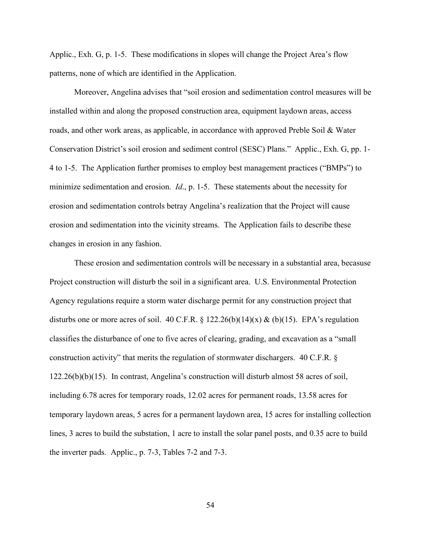Applic., Exh. G, p. 1-5. These modifications in slopes will change the Project Area's flow patterns, none of which are identified in the Application.

Moreover, Angelina advises that "soil erosion and sedimentation control measures will be installed within and along the proposed construction area, equipment laydown areas, access roads, and other work areas, as applicable, in accordance with approved Preble Soil & Water Conservation District's soil erosion and sediment control (SESC) Plans." Applic., Exh. G, pp. 1- 4 to 1-5. The Application further promises to employ best management practices ("BMPs") to minimize sedimentation and erosion. *Id*., p. 1-5. These statements about the necessity for erosion and sedimentation controls betray Angelina's realization that the Project will cause erosion and sedimentation into the vicinity streams. The Application fails to describe these changes in erosion in any fashion.

These erosion and sedimentation controls will be necessary in a substantial area, becasuse Project construction will disturb the soil in a significant area. U.S. Environmental Protection Agency regulations require a storm water discharge permit for any construction project that disturbs one or more acres of soil. 40 C.F.R. § 122.26(b)(14)(x) & (b)(15). EPA's regulation classifies the disturbance of one to five acres of clearing, grading, and excavation as a "small construction activity" that merits the regulation of stormwater dischargers. 40 C.F.R. § 122.26(b)(b)(15). In contrast, Angelina's construction will disturb almost 58 acres of soil, including 6.78 acres for temporary roads, 12.02 acres for permanent roads, 13.58 acres for temporary laydown areas, 5 acres for a permanent laydown area, 15 acres for installing collection lines, 3 acres to build the substation, 1 acre to install the solar panel posts, and 0.35 acre to build the inverter pads. Applic., p. 7-3, Tables 7-2 and 7-3.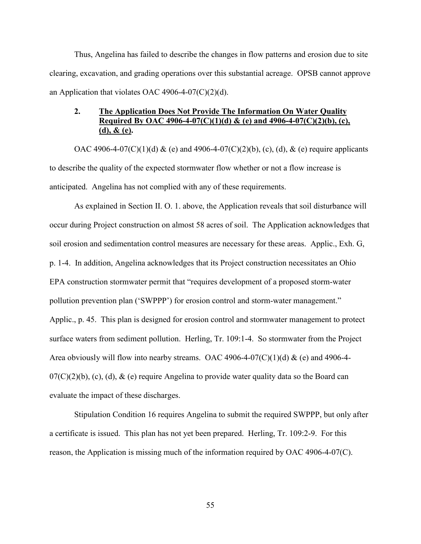Thus, Angelina has failed to describe the changes in flow patterns and erosion due to site clearing, excavation, and grading operations over this substantial acreage. OPSB cannot approve an Application that violates OAC 4906-4-07(C)(2)(d).

## **2. The Application Does Not Provide The Information On Water Quality Required By OAC 4906-4-07(C)(1)(d) & (e) and 4906-4-07(C)(2)(b), (c), (d), & (e).**

OAC 4906-4-07(C)(1)(d) & (e) and 4906-4-07(C)(2)(b), (c), (d), & (e) require applicants to describe the quality of the expected stormwater flow whether or not a flow increase is anticipated. Angelina has not complied with any of these requirements.

As explained in Section II. O. 1. above, the Application reveals that soil disturbance will occur during Project construction on almost 58 acres of soil. The Application acknowledges that soil erosion and sedimentation control measures are necessary for these areas. Applic., Exh. G, p. 1-4. In addition, Angelina acknowledges that its Project construction necessitates an Ohio EPA construction stormwater permit that "requires development of a proposed storm-water pollution prevention plan ('SWPPP') for erosion control and storm-water management." Applic., p. 45. This plan is designed for erosion control and stormwater management to protect surface waters from sediment pollution. Herling, Tr. 109:1-4. So stormwater from the Project Area obviously will flow into nearby streams. OAC 4906-4-07(C)(1)(d)  $\&$  (e) and 4906-4- $07(C)(2)(b)$ , (c), (d),  $&$  (e) require Angelina to provide water quality data so the Board can evaluate the impact of these discharges.

Stipulation Condition 16 requires Angelina to submit the required SWPPP, but only after a certificate is issued. This plan has not yet been prepared. Herling, Tr. 109:2-9. For this reason, the Application is missing much of the information required by OAC 4906-4-07(C).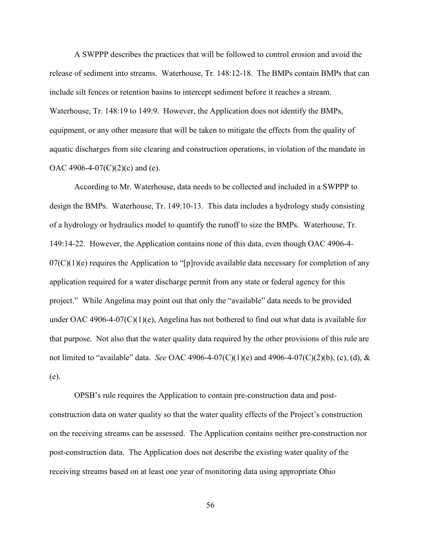A SWPPP describes the practices that will be followed to control erosion and avoid the release of sediment into streams. Waterhouse, Tr. 148:12-18. The BMPs contain BMPs that can include silt fences or retention basins to intercept sediment before it reaches a stream. Waterhouse, Tr. 148:19 to 149:9. However, the Application does not identify the BMPs, equipment, or any other measure that will be taken to mitigate the effects from the quality of aquatic discharges from site clearing and construction operations, in violation of the mandate in OAC 4906-4-07(C)(2)(c) and (e).

According to Mr. Waterhouse, data needs to be collected and included in a SWPPP to design the BMPs. Waterhouse, Tr. 149:10-13. This data includes a hydrology study consisting of a hydrology or hydraulics model to quantify the runoff to size the BMPs. Waterhouse, Tr. 149:14-22. However, the Application contains none of this data, even though OAC 4906-4-  $07(C)(1)(e)$  requires the Application to "[p]rovide available data necessary for completion of any application required for a water discharge permit from any state or federal agency for this project." While Angelina may point out that only the "available" data needs to be provided under OAC 4906-4-07(C)(1)(e), Angelina has not bothered to find out what data is available for that purpose. Not also that the water quality data required by the other provisions of this rule are not limited to "available" data. *See* OAC 4906-4-07(C)(1)(e) and 4906-4-07(C)(2)(b), (c), (d), & (e).

OPSB's rule requires the Application to contain pre-construction data and postconstruction data on water quality so that the water quality effects of the Project's construction on the receiving streams can be assessed. The Application contains neither pre-construction nor post-construction data. The Application does not describe the existing water quality of the receiving streams based on at least one year of monitoring data using appropriate Ohio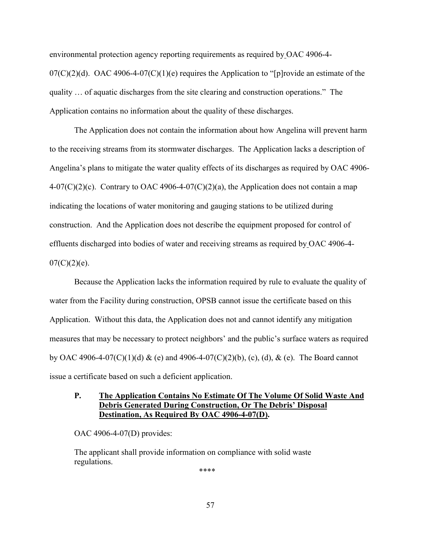environmental protection agency reporting requirements as required by OAC 4906-4-  $07(C)(2)(d)$ . OAC 4906-4-07(C)(1)(e) requires the Application to "[p]rovide an estimate of the quality … of aquatic discharges from the site clearing and construction operations." The Application contains no information about the quality of these discharges.

The Application does not contain the information about how Angelina will prevent harm to the receiving streams from its stormwater discharges. The Application lacks a description of Angelina's plans to mitigate the water quality effects of its discharges as required by OAC 4906- 4-07(C)(2)(c). Contrary to OAC 4906-4-07(C)(2)(a), the Application does not contain a map indicating the locations of water monitoring and gauging stations to be utilized during construction. And the Application does not describe the equipment proposed for control of effluents discharged into bodies of water and receiving streams as required by OAC 4906-4-  $07(C)(2)(e)$ .

Because the Application lacks the information required by rule to evaluate the quality of water from the Facility during construction, OPSB cannot issue the certificate based on this Application. Without this data, the Application does not and cannot identify any mitigation measures that may be necessary to protect neighbors' and the public's surface waters as required by OAC 4906-4-07(C)(1)(d) & (e) and 4906-4-07(C)(2)(b), (c), (d), & (e). The Board cannot issue a certificate based on such a deficient application.

## **P. The Application Contains No Estimate Of The Volume Of Solid Waste And Debris Generated During Construction, Or The Debris' Disposal Destination, As Required By OAC 4906-4-07(D).**

OAC 4906-4-07(D) provides:

The applicant shall provide information on compliance with solid waste regulations.

\*\*\*\*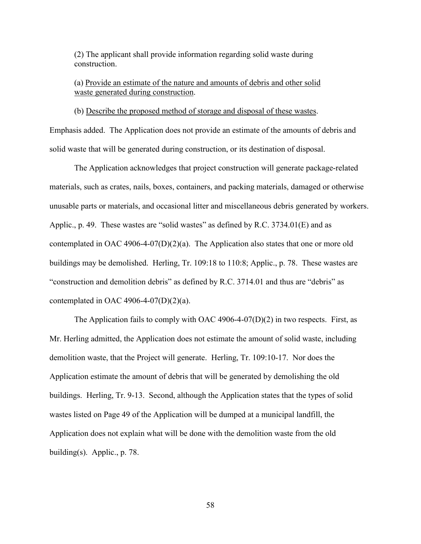(2) The applicant shall provide information regarding solid waste during construction.

(a) Provide an estimate of the nature and amounts of debris and other solid waste generated during construction.

(b) Describe the proposed method of storage and disposal of these wastes.

Emphasis added. The Application does not provide an estimate of the amounts of debris and solid waste that will be generated during construction, or its destination of disposal.

The Application acknowledges that project construction will generate package-related materials, such as crates, nails, boxes, containers, and packing materials, damaged or otherwise unusable parts or materials, and occasional litter and miscellaneous debris generated by workers. Applic., p. 49. These wastes are "solid wastes" as defined by R.C. 3734.01(E) and as contemplated in OAC 4906-4-07(D)(2)(a). The Application also states that one or more old buildings may be demolished. Herling, Tr. 109:18 to 110:8; Applic., p. 78. These wastes are "construction and demolition debris" as defined by R.C. 3714.01 and thus are "debris" as contemplated in OAC 4906-4-07(D)(2)(a).

The Application fails to comply with OAC 4906-4-07(D)(2) in two respects. First, as Mr. Herling admitted, the Application does not estimate the amount of solid waste, including demolition waste, that the Project will generate. Herling, Tr. 109:10-17. Nor does the Application estimate the amount of debris that will be generated by demolishing the old buildings. Herling, Tr. 9-13. Second, although the Application states that the types of solid wastes listed on Page 49 of the Application will be dumped at a municipal landfill, the Application does not explain what will be done with the demolition waste from the old building(s). Applic., p. 78.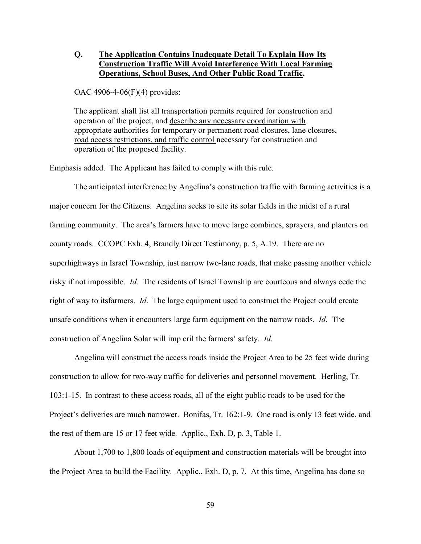## **Q. The Application Contains Inadequate Detail To Explain How Its Construction Traffic Will Avoid Interference With Local Farming Operations, School Buses, And Other Public Road Traffic.**

OAC 4906-4-06(F)(4) provides:

The applicant shall list all transportation permits required for construction and operation of the project, and describe any necessary coordination with appropriate authorities for temporary or permanent road closures, lane closures, road access restrictions, and traffic control necessary for construction and operation of the proposed facility.

Emphasis added. The Applicant has failed to comply with this rule.

The anticipated interference by Angelina's construction traffic with farming activities is a major concern for the Citizens. Angelina seeks to site its solar fields in the midst of a rural farming community. The area's farmers have to move large combines, sprayers, and planters on county roads. CCOPC Exh. 4, Brandly Direct Testimony, p. 5, A.19. There are no superhighways in Israel Township, just narrow two-lane roads, that make passing another vehicle risky if not impossible. *Id*. The residents of Israel Township are courteous and always cede the right of way to itsfarmers. *Id*. The large equipment used to construct the Project could create unsafe conditions when it encounters large farm equipment on the narrow roads. *Id*. The construction of Angelina Solar will imp eril the farmers' safety. *Id*.

Angelina will construct the access roads inside the Project Area to be 25 feet wide during construction to allow for two-way traffic for deliveries and personnel movement. Herling, Tr. 103:1-15. In contrast to these access roads, all of the eight public roads to be used for the Project's deliveries are much narrower. Bonifas, Tr. 162:1-9. One road is only 13 feet wide, and the rest of them are 15 or 17 feet wide. Applic., Exh. D, p. 3, Table 1.

About 1,700 to 1,800 loads of equipment and construction materials will be brought into the Project Area to build the Facility. Applic., Exh. D, p. 7. At this time, Angelina has done so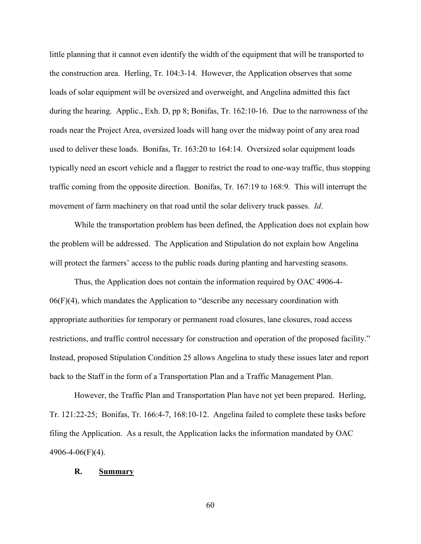little planning that it cannot even identify the width of the equipment that will be transported to the construction area. Herling, Tr. 104:3-14. However, the Application observes that some loads of solar equipment will be oversized and overweight, and Angelina admitted this fact during the hearing. Applic., Exh. D, pp 8; Bonifas, Tr. 162:10-16. Due to the narrowness of the roads near the Project Area, oversized loads will hang over the midway point of any area road used to deliver these loads. Bonifas, Tr. 163:20 to 164:14. Oversized solar equipment loads typically need an escort vehicle and a flagger to restrict the road to one-way traffic, thus stopping traffic coming from the opposite direction. Bonifas, Tr. 167:19 to 168:9. This will interrupt the movement of farm machinery on that road until the solar delivery truck passes. *Id*.

While the transportation problem has been defined, the Application does not explain how the problem will be addressed. The Application and Stipulation do not explain how Angelina will protect the farmers' access to the public roads during planting and harvesting seasons.

Thus, the Application does not contain the information required by OAC 4906-4- 06(F)(4), which mandates the Application to "describe any necessary coordination with appropriate authorities for temporary or permanent road closures, lane closures, road access restrictions, and traffic control necessary for construction and operation of the proposed facility." Instead, proposed Stipulation Condition 25 allows Angelina to study these issues later and report back to the Staff in the form of a Transportation Plan and a Traffic Management Plan.

However, the Traffic Plan and Transportation Plan have not yet been prepared. Herling, Tr. 121:22-25; Bonifas, Tr. 166:4-7, 168:10-12. Angelina failed to complete these tasks before filing the Application. As a result, the Application lacks the information mandated by OAC 4906-4-06(F)(4).

#### **R. Summary**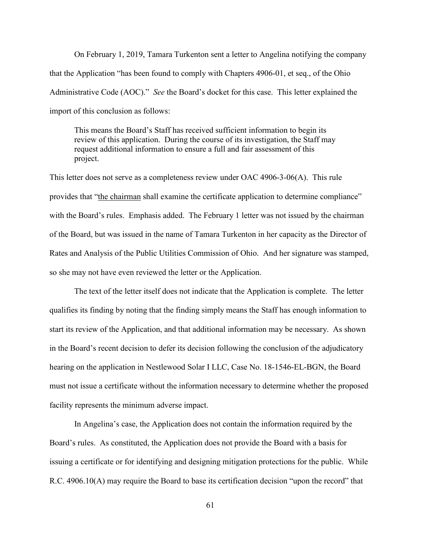On February 1, 2019, Tamara Turkenton sent a letter to Angelina notifying the company that the Application "has been found to comply with Chapters 4906-01, et seq., of the Ohio Administrative Code (AOC)." *See* the Board's docket for this case. This letter explained the import of this conclusion as follows:

This means the Board's Staff has received sufficient information to begin its review of this application. During the course of its investigation, the Staff may request additional information to ensure a full and fair assessment of this project.

This letter does not serve as a completeness review under OAC 4906-3-06(A). This rule provides that "the chairman shall examine the certificate application to determine compliance" with the Board's rules. Emphasis added. The February 1 letter was not issued by the chairman of the Board, but was issued in the name of Tamara Turkenton in her capacity as the Director of Rates and Analysis of the Public Utilities Commission of Ohio. And her signature was stamped, so she may not have even reviewed the letter or the Application.

The text of the letter itself does not indicate that the Application is complete. The letter qualifies its finding by noting that the finding simply means the Staff has enough information to start its review of the Application, and that additional information may be necessary. As shown in the Board's recent decision to defer its decision following the conclusion of the adjudicatory hearing on the application in Nestlewood Solar I LLC, Case No. 18-1546-EL-BGN, the Board must not issue a certificate without the information necessary to determine whether the proposed facility represents the minimum adverse impact.

In Angelina's case, the Application does not contain the information required by the Board's rules. As constituted, the Application does not provide the Board with a basis for issuing a certificate or for identifying and designing mitigation protections for the public. While R.C. 4906.10(A) may require the Board to base its certification decision "upon the record" that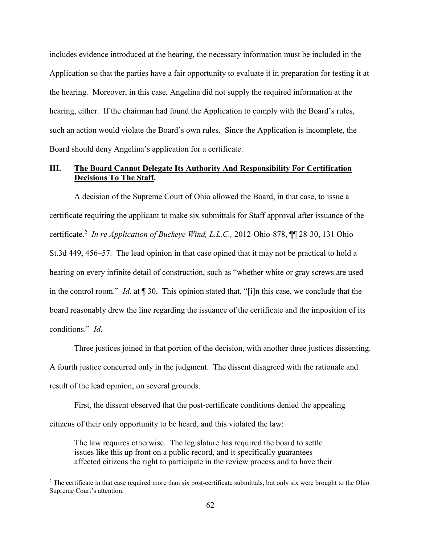includes evidence introduced at the hearing, the necessary information must be included in the Application so that the parties have a fair opportunity to evaluate it in preparation for testing it at the hearing. Moreover, in this case, Angelina did not supply the required information at the hearing, either. If the chairman had found the Application to comply with the Board's rules, such an action would violate the Board's own rules. Since the Application is incomplete, the Board should deny Angelina's application for a certificate.

## **III. The Board Cannot Delegate Its Authority And Responsibility For Certification Decisions To The Staff.**

A decision of the Supreme Court of Ohio allowed the Board, in that case, to issue a certificate requiring the applicant to make six submittals for Staff approval after issuance of the certificate.<sup>2</sup> *In re Application of Buckeye Wind, L.L.C.,* 2012-Ohio-878, ¶¶ 28-30, 131 Ohio St.3d 449, 456–57. The lead opinion in that case opined that it may not be practical to hold a hearing on every infinite detail of construction, such as "whether white or gray screws are used in the control room." *Id*. at ¶ 30. This opinion stated that, "[i]n this case, we conclude that the board reasonably drew the line regarding the issuance of the certificate and the imposition of its conditions." *Id*.

Three justices joined in that portion of the decision, with another three justices dissenting. A fourth justice concurred only in the judgment. The dissent disagreed with the rationale and result of the lead opinion, on several grounds.

First, the dissent observed that the post-certificate conditions denied the appealing citizens of their only opportunity to be heard, and this violated the law:

The law requires otherwise. The legislature has required the board to settle issues like this up front on a public record, and it specifically guarantees affected citizens the right to participate in the review process and to have their

<sup>&</sup>lt;sup>2</sup> The certificate in that case required more than six post-certificate submittals, but only six were brought to the Ohio Supreme Court's attention.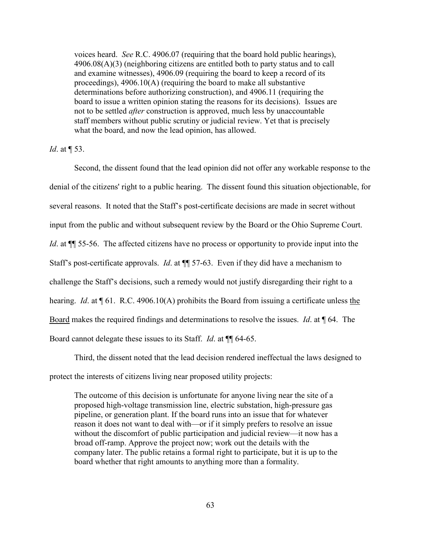voices heard. *See* R.C. 4906.07 (requiring that the board hold public hearings), 4906.08(A)(3) (neighboring citizens are entitled both to party status and to call and examine witnesses), 4906.09 (requiring the board to keep a record of its proceedings), 4906.10(A) (requiring the board to make all substantive determinations before authorizing construction), and 4906.11 (requiring the board to issue a written opinion stating the reasons for its decisions). Issues are not to be settled *after* construction is approved, much less by unaccountable staff members without public scrutiny or judicial review. Yet that is precisely what the board, and now the lead opinion, has allowed.

#### *Id.* at  $\P$  53.

Second, the dissent found that the lead opinion did not offer any workable response to the denial of the citizens' right to a public hearing. The dissent found this situation objectionable, for several reasons. It noted that the Staff's post-certificate decisions are made in secret without input from the public and without subsequent review by the Board or the Ohio Supreme Court. *Id.* at  $\P$  55-56. The affected citizens have no process or opportunity to provide input into the Staff's post-certificate approvals. *Id*. at ¶¶ 57-63. Even if they did have a mechanism to challenge the Staff's decisions, such a remedy would not justify disregarding their right to a hearing. *Id.* at  $\P$  61. R.C. 4906.10(A) prohibits the Board from issuing a certificate unless the Board makes the required findings and determinations to resolve the issues. *Id*. at ¶ 64. The Board cannot delegate these issues to its Staff. *Id*. at ¶¶ 64-65.

Third, the dissent noted that the lead decision rendered ineffectual the laws designed to protect the interests of citizens living near proposed utility projects:

The outcome of this decision is unfortunate for anyone living near the site of a proposed high-voltage transmission line, electric substation, high-pressure gas pipeline, or generation plant. If the board runs into an issue that for whatever reason it does not want to deal with—or if it simply prefers to resolve an issue without the discomfort of public participation and judicial review—it now has a broad off-ramp. Approve the project now; work out the details with the company later. The public retains a formal right to participate, but it is up to the board whether that right amounts to anything more than a formality.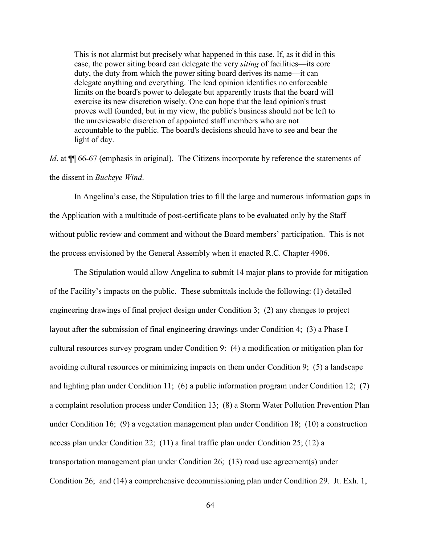This is not alarmist but precisely what happened in this case. If, as it did in this case, the power siting board can delegate the very *siting* of facilities—its core duty, the duty from which the power siting board derives its name—it can delegate anything and everything. The lead opinion identifies no enforceable limits on the board's power to delegate but apparently trusts that the board will exercise its new discretion wisely. One can hope that the lead opinion's trust proves well founded, but in my view, the public's business should not be left to the unreviewable discretion of appointed staff members who are not accountable to the public. The board's decisions should have to see and bear the light of day.

*Id.* at  $\P$  66-67 (emphasis in original). The Citizens incorporate by reference the statements of the dissent in *Buckeye Wind*.

In Angelina's case, the Stipulation tries to fill the large and numerous information gaps in the Application with a multitude of post-certificate plans to be evaluated only by the Staff without public review and comment and without the Board members' participation. This is not the process envisioned by the General Assembly when it enacted R.C. Chapter 4906.

The Stipulation would allow Angelina to submit 14 major plans to provide for mitigation of the Facility's impacts on the public. These submittals include the following: (1) detailed engineering drawings of final project design under Condition 3; (2) any changes to project layout after the submission of final engineering drawings under Condition 4; (3) a Phase I cultural resources survey program under Condition 9: (4) a modification or mitigation plan for avoiding cultural resources or minimizing impacts on them under Condition 9; (5) a landscape and lighting plan under Condition 11; (6) a public information program under Condition 12; (7) a complaint resolution process under Condition 13; (8) a Storm Water Pollution Prevention Plan under Condition 16; (9) a vegetation management plan under Condition 18; (10) a construction access plan under Condition 22; (11) a final traffic plan under Condition 25; (12) a transportation management plan under Condition 26; (13) road use agreement(s) under Condition 26; and (14) a comprehensive decommissioning plan under Condition 29. Jt. Exh. 1,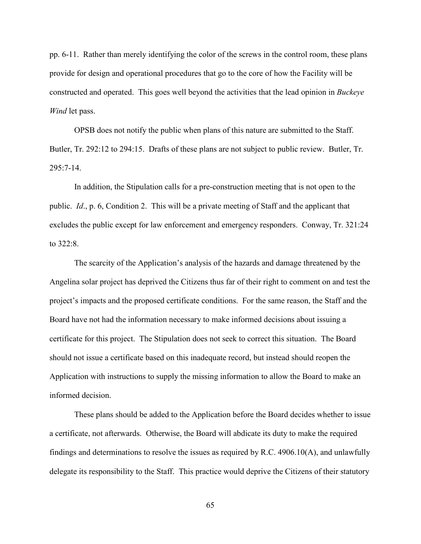pp. 6-11. Rather than merely identifying the color of the screws in the control room, these plans provide for design and operational procedures that go to the core of how the Facility will be constructed and operated. This goes well beyond the activities that the lead opinion in *Buckeye Wind* let pass.

OPSB does not notify the public when plans of this nature are submitted to the Staff. Butler, Tr. 292:12 to 294:15. Drafts of these plans are not subject to public review. Butler, Tr.  $295:7-14.$ 

In addition, the Stipulation calls for a pre-construction meeting that is not open to the public. *Id*., p. 6, Condition 2. This will be a private meeting of Staff and the applicant that excludes the public except for law enforcement and emergency responders. Conway, Tr. 321:24 to 322:8.

The scarcity of the Application's analysis of the hazards and damage threatened by the Angelina solar project has deprived the Citizens thus far of their right to comment on and test the project's impacts and the proposed certificate conditions. For the same reason, the Staff and the Board have not had the information necessary to make informed decisions about issuing a certificate for this project. The Stipulation does not seek to correct this situation. The Board should not issue a certificate based on this inadequate record, but instead should reopen the Application with instructions to supply the missing information to allow the Board to make an informed decision.

These plans should be added to the Application before the Board decides whether to issue a certificate, not afterwards. Otherwise, the Board will abdicate its duty to make the required findings and determinations to resolve the issues as required by R.C. 4906.10(A), and unlawfully delegate its responsibility to the Staff. This practice would deprive the Citizens of their statutory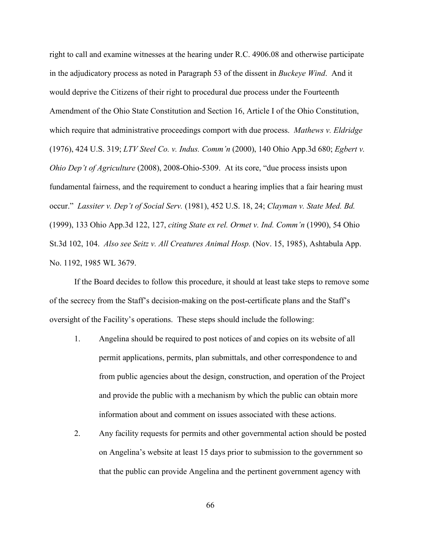right to call and examine witnesses at the hearing under R.C. 4906.08 and otherwise participate in the adjudicatory process as noted in Paragraph 53 of the dissent in *Buckeye Wind*. And it would deprive the Citizens of their right to procedural due process under the Fourteenth Amendment of the Ohio State Constitution and Section 16, Article I of the Ohio Constitution, which require that administrative proceedings comport with due process. *Mathews v. Eldridge* (1976), 424 U.S. 319; *LTV Steel Co. v. Indus. Comm'n* (2000), 140 Ohio App.3d 680; *Egbert v. Ohio Dep't of Agriculture* (2008), 2008-Ohio-5309. At its core, "due process insists upon fundamental fairness, and the requirement to conduct a hearing implies that a fair hearing must occur." *Lassiter v. Dep't of Social Serv.* (1981), 452 U.S. 18, 24; *Clayman v. State Med. Bd.* (1999), 133 Ohio App.3d 122, 127, *citing State ex rel. Ormet v. Ind. Comm'n* (1990), 54 Ohio St.3d 102, 104. *Also see Seitz v. All Creatures Animal Hosp.* (Nov. 15, 1985), Ashtabula App. No. 1192, 1985 WL 3679.

If the Board decides to follow this procedure, it should at least take steps to remove some of the secrecy from the Staff's decision-making on the post-certificate plans and the Staff's oversight of the Facility's operations. These steps should include the following:

- 1. Angelina should be required to post notices of and copies on its website of all permit applications, permits, plan submittals, and other correspondence to and from public agencies about the design, construction, and operation of the Project and provide the public with a mechanism by which the public can obtain more information about and comment on issues associated with these actions.
- 2. Any facility requests for permits and other governmental action should be posted on Angelina's website at least 15 days prior to submission to the government so that the public can provide Angelina and the pertinent government agency with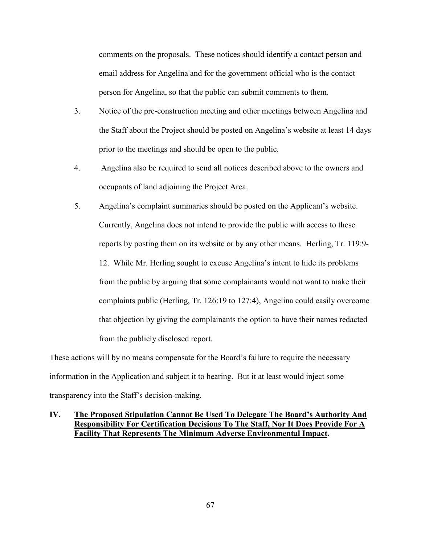comments on the proposals. These notices should identify a contact person and email address for Angelina and for the government official who is the contact person for Angelina, so that the public can submit comments to them.

- 3. Notice of the pre-construction meeting and other meetings between Angelina and the Staff about the Project should be posted on Angelina's website at least 14 days prior to the meetings and should be open to the public.
- 4. Angelina also be required to send all notices described above to the owners and occupants of land adjoining the Project Area.
- 5. Angelina's complaint summaries should be posted on the Applicant's website. Currently, Angelina does not intend to provide the public with access to these reports by posting them on its website or by any other means. Herling, Tr. 119:9- 12. While Mr. Herling sought to excuse Angelina's intent to hide its problems from the public by arguing that some complainants would not want to make their complaints public (Herling, Tr. 126:19 to 127:4), Angelina could easily overcome that objection by giving the complainants the option to have their names redacted from the publicly disclosed report.

These actions will by no means compensate for the Board's failure to require the necessary information in the Application and subject it to hearing. But it at least would inject some transparency into the Staff's decision-making.

## **IV. The Proposed Stipulation Cannot Be Used To Delegate The Board's Authority And Responsibility For Certification Decisions To The Staff, Nor It Does Provide For A Facility That Represents The Minimum Adverse Environmental Impact.**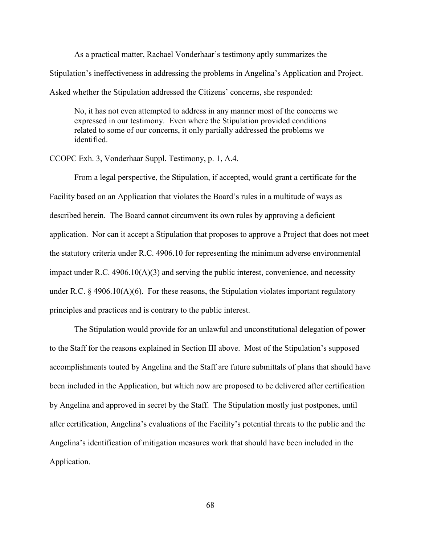As a practical matter, Rachael Vonderhaar's testimony aptly summarizes the Stipulation's ineffectiveness in addressing the problems in Angelina's Application and Project. Asked whether the Stipulation addressed the Citizens' concerns, she responded:

No, it has not even attempted to address in any manner most of the concerns we expressed in our testimony. Even where the Stipulation provided conditions related to some of our concerns, it only partially addressed the problems we identified.

CCOPC Exh. 3, Vonderhaar Suppl. Testimony, p. 1, A.4.

From a legal perspective, the Stipulation, if accepted, would grant a certificate for the Facility based on an Application that violates the Board's rules in a multitude of ways as described herein. The Board cannot circumvent its own rules by approving a deficient application. Nor can it accept a Stipulation that proposes to approve a Project that does not meet the statutory criteria under R.C. 4906.10 for representing the minimum adverse environmental impact under R.C.  $4906.10(A)(3)$  and serving the public interest, convenience, and necessity under R.C.  $\S$  4906.10(A)(6). For these reasons, the Stipulation violates important regulatory principles and practices and is contrary to the public interest.

The Stipulation would provide for an unlawful and unconstitutional delegation of power to the Staff for the reasons explained in Section III above. Most of the Stipulation's supposed accomplishments touted by Angelina and the Staff are future submittals of plans that should have been included in the Application, but which now are proposed to be delivered after certification by Angelina and approved in secret by the Staff. The Stipulation mostly just postpones, until after certification, Angelina's evaluations of the Facility's potential threats to the public and the Angelina's identification of mitigation measures work that should have been included in the Application.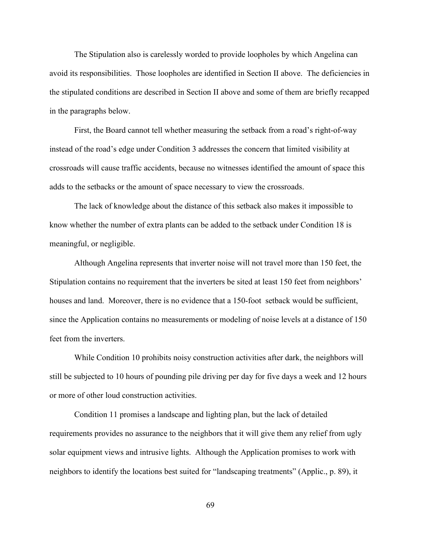The Stipulation also is carelessly worded to provide loopholes by which Angelina can avoid its responsibilities. Those loopholes are identified in Section II above. The deficiencies in the stipulated conditions are described in Section II above and some of them are briefly recapped in the paragraphs below.

First, the Board cannot tell whether measuring the setback from a road's right-of-way instead of the road's edge under Condition 3 addresses the concern that limited visibility at crossroads will cause traffic accidents, because no witnesses identified the amount of space this adds to the setbacks or the amount of space necessary to view the crossroads.

The lack of knowledge about the distance of this setback also makes it impossible to know whether the number of extra plants can be added to the setback under Condition 18 is meaningful, or negligible.

Although Angelina represents that inverter noise will not travel more than 150 feet, the Stipulation contains no requirement that the inverters be sited at least 150 feet from neighbors' houses and land. Moreover, there is no evidence that a 150-foot setback would be sufficient, since the Application contains no measurements or modeling of noise levels at a distance of 150 feet from the inverters.

While Condition 10 prohibits noisy construction activities after dark, the neighbors will still be subjected to 10 hours of pounding pile driving per day for five days a week and 12 hours or more of other loud construction activities.

Condition 11 promises a landscape and lighting plan, but the lack of detailed requirements provides no assurance to the neighbors that it will give them any relief from ugly solar equipment views and intrusive lights. Although the Application promises to work with neighbors to identify the locations best suited for "landscaping treatments" (Applic., p. 89), it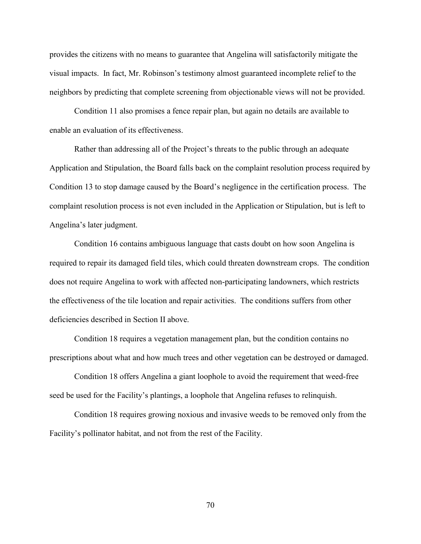provides the citizens with no means to guarantee that Angelina will satisfactorily mitigate the visual impacts. In fact, Mr. Robinson's testimony almost guaranteed incomplete relief to the neighbors by predicting that complete screening from objectionable views will not be provided.

Condition 11 also promises a fence repair plan, but again no details are available to enable an evaluation of its effectiveness.

Rather than addressing all of the Project's threats to the public through an adequate Application and Stipulation, the Board falls back on the complaint resolution process required by Condition 13 to stop damage caused by the Board's negligence in the certification process. The complaint resolution process is not even included in the Application or Stipulation, but is left to Angelina's later judgment.

Condition 16 contains ambiguous language that casts doubt on how soon Angelina is required to repair its damaged field tiles, which could threaten downstream crops. The condition does not require Angelina to work with affected non-participating landowners, which restricts the effectiveness of the tile location and repair activities. The conditions suffers from other deficiencies described in Section II above.

Condition 18 requires a vegetation management plan, but the condition contains no prescriptions about what and how much trees and other vegetation can be destroyed or damaged.

Condition 18 offers Angelina a giant loophole to avoid the requirement that weed-free seed be used for the Facility's plantings, a loophole that Angelina refuses to relinquish.

Condition 18 requires growing noxious and invasive weeds to be removed only from the Facility's pollinator habitat, and not from the rest of the Facility.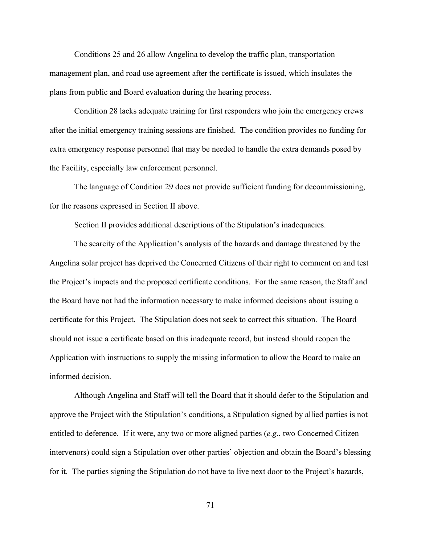Conditions 25 and 26 allow Angelina to develop the traffic plan, transportation management plan, and road use agreement after the certificate is issued, which insulates the plans from public and Board evaluation during the hearing process.

Condition 28 lacks adequate training for first responders who join the emergency crews after the initial emergency training sessions are finished. The condition provides no funding for extra emergency response personnel that may be needed to handle the extra demands posed by the Facility, especially law enforcement personnel.

The language of Condition 29 does not provide sufficient funding for decommissioning, for the reasons expressed in Section II above.

Section II provides additional descriptions of the Stipulation's inadequacies.

The scarcity of the Application's analysis of the hazards and damage threatened by the Angelina solar project has deprived the Concerned Citizens of their right to comment on and test the Project's impacts and the proposed certificate conditions. For the same reason, the Staff and the Board have not had the information necessary to make informed decisions about issuing a certificate for this Project. The Stipulation does not seek to correct this situation. The Board should not issue a certificate based on this inadequate record, but instead should reopen the Application with instructions to supply the missing information to allow the Board to make an informed decision.

Although Angelina and Staff will tell the Board that it should defer to the Stipulation and approve the Project with the Stipulation's conditions, a Stipulation signed by allied parties is not entitled to deference. If it were, any two or more aligned parties (*e.g*., two Concerned Citizen intervenors) could sign a Stipulation over other parties' objection and obtain the Board's blessing for it. The parties signing the Stipulation do not have to live next door to the Project's hazards,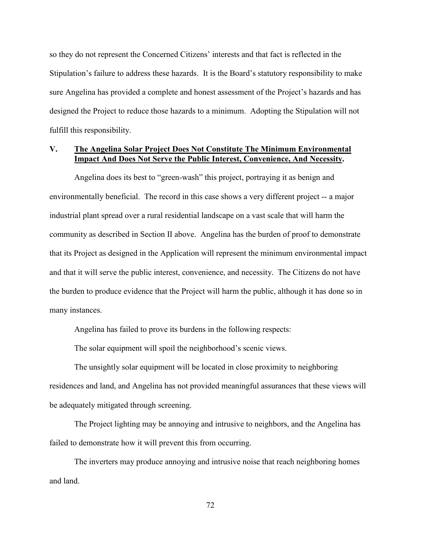so they do not represent the Concerned Citizens' interests and that fact is reflected in the Stipulation's failure to address these hazards. It is the Board's statutory responsibility to make sure Angelina has provided a complete and honest assessment of the Project's hazards and has designed the Project to reduce those hazards to a minimum. Adopting the Stipulation will not fulfill this responsibility.

#### **V. The Angelina Solar Project Does Not Constitute The Minimum Environmental Impact And Does Not Serve the Public Interest, Convenience, And Necessity.**

Angelina does its best to "green-wash" this project, portraying it as benign and environmentally beneficial. The record in this case shows a very different project -- a major industrial plant spread over a rural residential landscape on a vast scale that will harm the community as described in Section II above. Angelina has the burden of proof to demonstrate that its Project as designed in the Application will represent the minimum environmental impact and that it will serve the public interest, convenience, and necessity. The Citizens do not have the burden to produce evidence that the Project will harm the public, although it has done so in many instances.

Angelina has failed to prove its burdens in the following respects:

The solar equipment will spoil the neighborhood's scenic views.

The unsightly solar equipment will be located in close proximity to neighboring residences and land, and Angelina has not provided meaningful assurances that these views will be adequately mitigated through screening.

The Project lighting may be annoying and intrusive to neighbors, and the Angelina has failed to demonstrate how it will prevent this from occurring.

The inverters may produce annoying and intrusive noise that reach neighboring homes and land.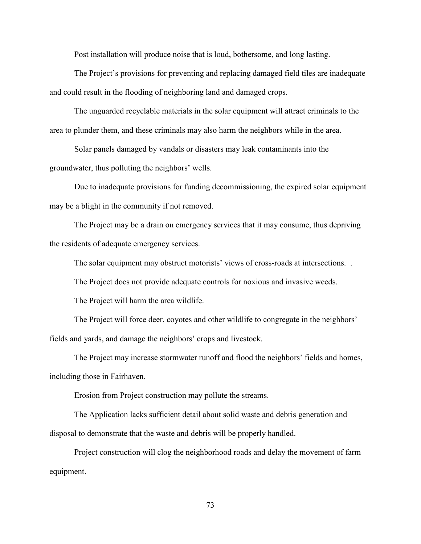Post installation will produce noise that is loud, bothersome, and long lasting.

The Project's provisions for preventing and replacing damaged field tiles are inadequate and could result in the flooding of neighboring land and damaged crops.

The unguarded recyclable materials in the solar equipment will attract criminals to the area to plunder them, and these criminals may also harm the neighbors while in the area.

Solar panels damaged by vandals or disasters may leak contaminants into the groundwater, thus polluting the neighbors' wells.

Due to inadequate provisions for funding decommissioning, the expired solar equipment may be a blight in the community if not removed.

The Project may be a drain on emergency services that it may consume, thus depriving the residents of adequate emergency services.

The solar equipment may obstruct motorists' views of cross-roads at intersections. .

The Project does not provide adequate controls for noxious and invasive weeds.

The Project will harm the area wildlife.

The Project will force deer, coyotes and other wildlife to congregate in the neighbors' fields and yards, and damage the neighbors' crops and livestock.

The Project may increase stormwater runoff and flood the neighbors' fields and homes, including those in Fairhaven.

Erosion from Project construction may pollute the streams.

The Application lacks sufficient detail about solid waste and debris generation and disposal to demonstrate that the waste and debris will be properly handled.

Project construction will clog the neighborhood roads and delay the movement of farm equipment.

73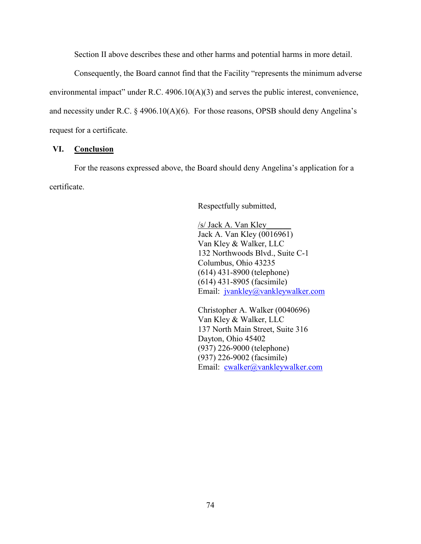Section II above describes these and other harms and potential harms in more detail.

Consequently, the Board cannot find that the Facility "represents the minimum adverse environmental impact" under R.C. 4906.10(A)(3) and serves the public interest, convenience, and necessity under R.C.  $\S$  4906.10(A)(6). For those reasons, OPSB should deny Angelina's request for a certificate.

## **VI. Conclusion**

For the reasons expressed above, the Board should deny Angelina's application for a certificate.

Respectfully submitted,

/s/ Jack A. Van Kley\_\_\_\_\_\_ Jack A. Van Kley (0016961) Van Kley & Walker, LLC 132 Northwoods Blvd., Suite C-1 Columbus, Ohio 43235 (614) 431-8900 (telephone) (614) 431-8905 (facsimile) Email: jvankley@vankleywalker.com

Christopher A. Walker (0040696) Van Kley & Walker, LLC 137 North Main Street, Suite 316 Dayton, Ohio 45402 (937) 226-9000 (telephone) (937) 226-9002 (facsimile) Email: cwalker@vankleywalker.com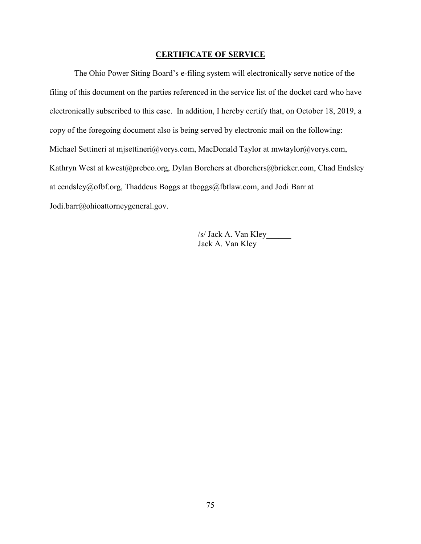## **CERTIFICATE OF SERVICE**

The Ohio Power Siting Board's e-filing system will electronically serve notice of the filing of this document on the parties referenced in the service list of the docket card who have electronically subscribed to this case. In addition, I hereby certify that, on October 18, 2019, a copy of the foregoing document also is being served by electronic mail on the following: Michael Settineri at mjsettineri@vorys.com, MacDonald Taylor at mwtaylor@vorys.com, Kathryn West at kwest@prebco.org, Dylan Borchers at dborchers@bricker.com, Chad Endsley at cendsley@ofbf.org, Thaddeus Boggs at tboggs@fbtlaw.com, and Jodi Barr at Jodi.barr@ohioattorneygeneral.gov.

> /s/ Jack A. Van Kley\_\_\_\_\_\_ Jack A. Van Kley